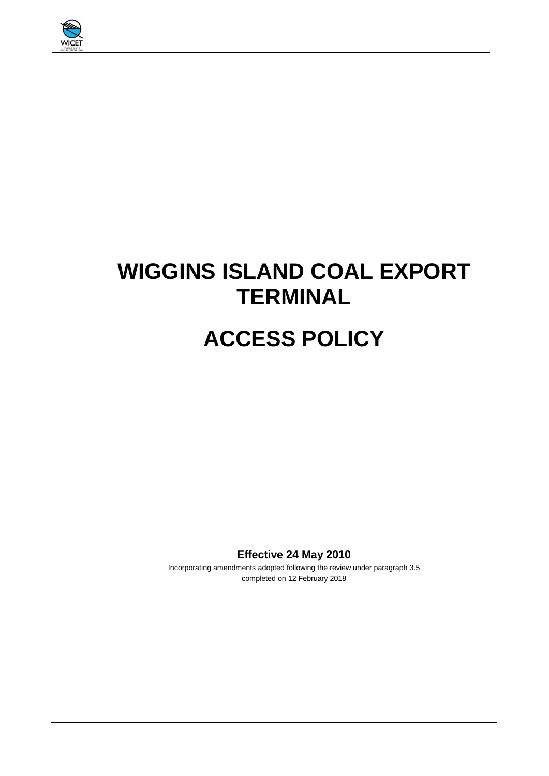

# **WIGGINS ISLAND COAL EXPORT TERMINAL**

# **ACCESS POLICY**

**Effective 24 May 2010**

Incorporating amendments adopted following the review under paragraph 3.5 completed on 12 February 2018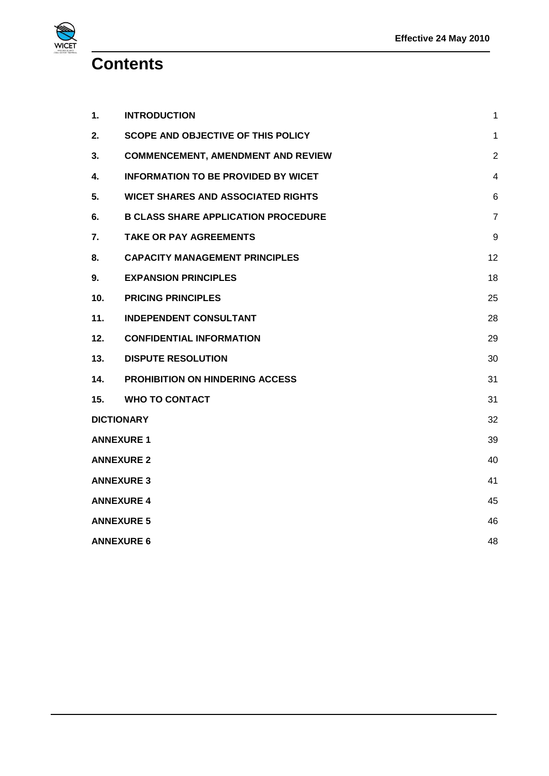**Contents**

**WICET** 

| 1.                | <b>INTRODUCTION</b>                        | 1              |
|-------------------|--------------------------------------------|----------------|
| 2.                | <b>SCOPE AND OBJECTIVE OF THIS POLICY</b>  | 1              |
| 3.                | <b>COMMENCEMENT, AMENDMENT AND REVIEW</b>  | $\overline{2}$ |
| 4.                | <b>INFORMATION TO BE PROVIDED BY WICET</b> | $\overline{4}$ |
| 5.                | <b>WICET SHARES AND ASSOCIATED RIGHTS</b>  | 6              |
| 6.                | <b>B CLASS SHARE APPLICATION PROCEDURE</b> | $\overline{7}$ |
| 7.                | <b>TAKE OR PAY AGREEMENTS</b>              | 9              |
| 8.                | <b>CAPACITY MANAGEMENT PRINCIPLES</b>      | 12             |
| 9.                | <b>EXPANSION PRINCIPLES</b>                | 18             |
| 10.               | <b>PRICING PRINCIPLES</b>                  | 25             |
| 11.               | <b>INDEPENDENT CONSULTANT</b>              | 28             |
| 12.               | <b>CONFIDENTIAL INFORMATION</b>            | 29             |
| 13.               | <b>DISPUTE RESOLUTION</b>                  | 30             |
| 14.               | <b>PROHIBITION ON HINDERING ACCESS</b>     | 31             |
| 15.               | <b>WHO TO CONTACT</b>                      | 31             |
| <b>DICTIONARY</b> |                                            | 32             |
| <b>ANNEXURE 1</b> |                                            | 39             |
| <b>ANNEXURE 2</b> |                                            | 40             |
| <b>ANNEXURE 3</b> |                                            | 41             |
| <b>ANNEXURE 4</b> |                                            | 45             |
| <b>ANNEXURE 5</b> |                                            |                |
| <b>ANNEXURE 6</b> |                                            | 48             |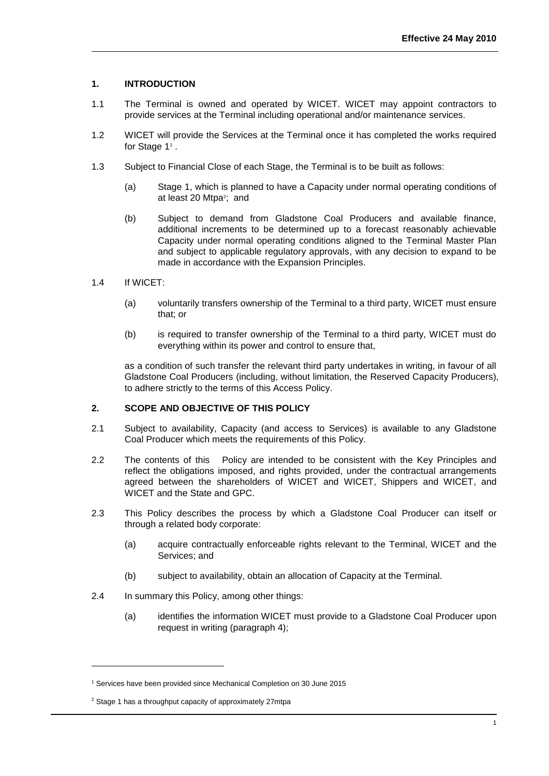## <span id="page-2-0"></span>**1. INTRODUCTION**

- 1.1 The Terminal is owned and operated by WICET. WICET may appoint contractors to provide services at the Terminal including operational and/or maintenance services.
- 1.2 WICET will provide the Services at the Terminal once it has completed the works required for Stage 1<sup>1</sup>.
- 1.3 Subject to Financial Close of each Stage, the Terminal is to be built as follows:
	- (a) Stage 1, which is planned to have a Capacity under normal operating conditions of at least 20 Mtpa<sup>2</sup>; and
	- (b) Subject to demand from Gladstone Coal Producers and available finance, additional increments to be determined up to a forecast reasonably achievable Capacity under normal operating conditions aligned to the Terminal Master Plan and subject to applicable regulatory approvals, with any decision to expand to be made in accordance with the Expansion Principles.
- 1.4 If WICET:
	- (a) voluntarily transfers ownership of the Terminal to a third party, WICET must ensure that; or
	- (b) is required to transfer ownership of the Terminal to a third party, WICET must do everything within its power and control to ensure that,

as a condition of such transfer the relevant third party undertakes in writing, in favour of all Gladstone Coal Producers (including, without limitation, the Reserved Capacity Producers), to adhere strictly to the terms of this Access Policy.

## <span id="page-2-1"></span>**2. SCOPE AND OBJECTIVE OF THIS POLICY**

- 2.1 Subject to availability, Capacity (and access to Services) is available to any Gladstone Coal Producer which meets the requirements of this Policy.
- 2.2 The contents of this Policy are intended to be consistent with the Key Principles and reflect the obligations imposed, and rights provided, under the contractual arrangements agreed between the shareholders of WICET and WICET, Shippers and WICET, and WICET and the State and GPC.
- 2.3 This Policy describes the process by which a Gladstone Coal Producer can itself or through a related body corporate:
	- (a) acquire contractually enforceable rights relevant to the Terminal, WICET and the Services; and
	- (b) subject to availability, obtain an allocation of Capacity at the Terminal.
- 2.4 In summary this Policy, among other things:
	- (a) identifies the information WICET must provide to a Gladstone Coal Producer upon request in writing (paragraph [4\)](#page-5-0);

l

<sup>&</sup>lt;sup>1</sup> Services have been provided since Mechanical Completion on 30 June 2015

<sup>2</sup> Stage 1 has a throughput capacity of approximately 27mtpa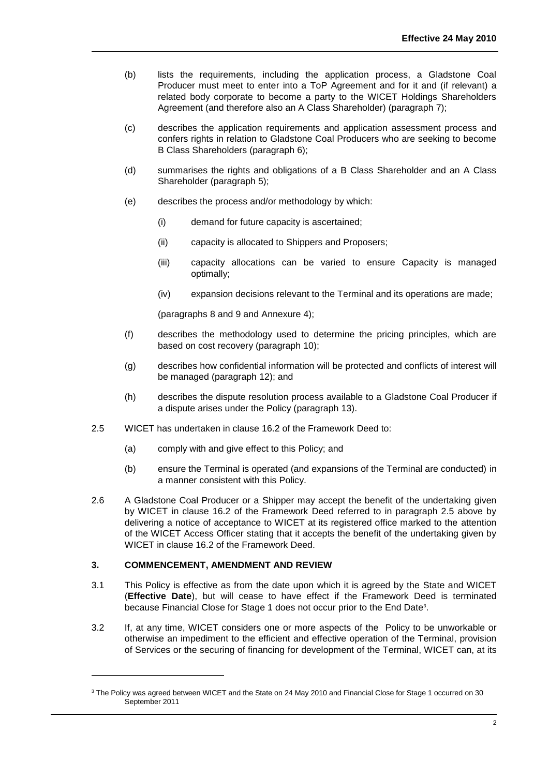- (b) lists the requirements, including the application process, a Gladstone Coal Producer must meet to enter into a ToP Agreement and for it and (if relevant) a related body corporate to become a party to the WICET Holdings Shareholders Agreement (and therefore also an A Class Shareholder) (paragraph [7\)](#page-10-0);
- (c) describes the application requirements and application assessment process and confers rights in relation to Gladstone Coal Producers who are seeking to become B Class Shareholders (paragraph [6\)](#page-8-0);
- (d) summarises the rights and obligations of a B Class Shareholder and an A Class Shareholder (paragraph [5\)](#page-7-0);
- (e) describes the process and/or methodology by which:
	- (i) demand for future capacity is ascertained;
	- (ii) capacity is allocated to Shippers and Proposers;
	- (iii) capacity allocations can be varied to ensure Capacity is managed optimally;
	- (iv) expansion decisions relevant to the Terminal and its operations are made;

(paragraphs [8](#page-13-0) and [9](#page-19-0) and Annexure 4);

- (f) describes the methodology used to determine the pricing principles, which are based on cost recovery (paragraph [10\)](#page-26-0);
- (g) describes how confidential information will be protected and conflicts of interest will be managed (paragraph [12\)](#page-30-0); and
- (h) describes the dispute resolution process available to a Gladstone Coal Producer if a dispute arises under the Policy (paragraph [13\)](#page-31-0).
- 2.5 WICET has undertaken in clause 16.2 of the Framework Deed to:
	- (a) comply with and give effect to this Policy; and
	- (b) ensure the Terminal is operated (and expansions of the Terminal are conducted) in a manner consistent with this Policy.
- 2.6 A Gladstone Coal Producer or a Shipper may accept the benefit of the undertaking given by WICET in clause 16.2 of the Framework Deed referred to in paragraph 2.5 above by delivering a notice of acceptance to WICET at its registered office marked to the attention of the WICET Access Officer stating that it accepts the benefit of the undertaking given by WICET in clause 16.2 of the Framework Deed.

## <span id="page-3-0"></span>**3. COMMENCEMENT, AMENDMENT AND REVIEW**

l

- 3.1 This Policy is effective as from the date upon which it is agreed by the State and WICET (**Effective Date**), but will cease to have effect if the Framework Deed is terminated because Financial Close for Stage 1 does not occur prior to the End Date<sup>3</sup>.
- 3.2 If, at any time, WICET considers one or more aspects of the Policy to be unworkable or otherwise an impediment to the efficient and effective operation of the Terminal, provision of Services or the securing of financing for development of the Terminal, WICET can, at its

<sup>&</sup>lt;sup>3</sup> The Policy was agreed between WICET and the State on 24 May 2010 and Financial Close for Stage 1 occurred on 30 September 2011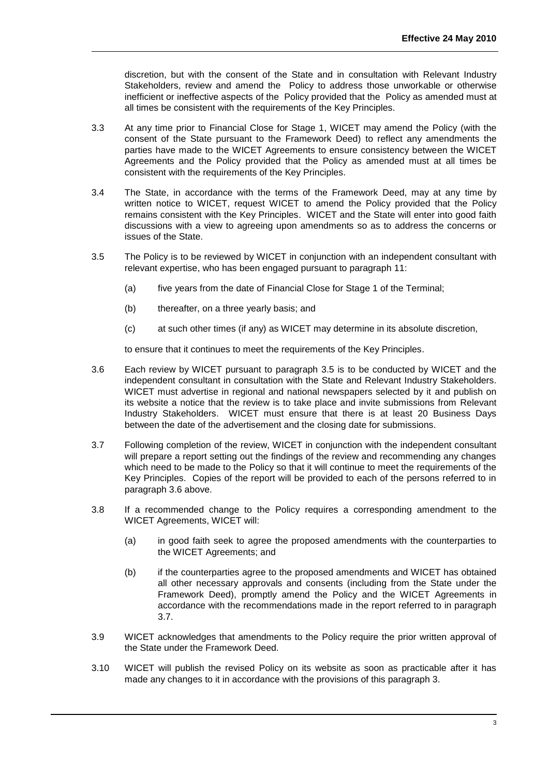discretion, but with the consent of the State and in consultation with Relevant Industry Stakeholders, review and amend the Policy to address those unworkable or otherwise inefficient or ineffective aspects of the Policy provided that the Policy as amended must at all times be consistent with the requirements of the Key Principles.

- 3.3 At any time prior to Financial Close for Stage 1, WICET may amend the Policy (with the consent of the State pursuant to the Framework Deed) to reflect any amendments the parties have made to the WICET Agreements to ensure consistency between the WICET Agreements and the Policy provided that the Policy as amended must at all times be consistent with the requirements of the Key Principles.
- 3.4 The State, in accordance with the terms of the Framework Deed, may at any time by written notice to WICET, request WICET to amend the Policy provided that the Policy remains consistent with the Key Principles. WICET and the State will enter into good faith discussions with a view to agreeing upon amendments so as to address the concerns or issues of the State.
- <span id="page-4-0"></span>3.5 The Policy is to be reviewed by WICET in conjunction with an independent consultant with relevant expertise, who has been engaged pursuant to paragraph [11:](#page-29-0)
	- (a) five years from the date of Financial Close for Stage 1 of the Terminal;
	- (b) thereafter, on a three yearly basis; and
	- (c) at such other times (if any) as WICET may determine in its absolute discretion,

to ensure that it continues to meet the requirements of the Key Principles.

- <span id="page-4-1"></span>3.6 Each review by WICET pursuant to paragraph [3.5](#page-4-0) is to be conducted by WICET and the independent consultant in consultation with the State and Relevant Industry Stakeholders. WICET must advertise in regional and national newspapers selected by it and publish on its website a notice that the review is to take place and invite submissions from Relevant Industry Stakeholders. WICET must ensure that there is at least 20 Business Days between the date of the advertisement and the closing date for submissions.
- <span id="page-4-2"></span>3.7 Following completion of the review, WICET in conjunction with the independent consultant will prepare a report setting out the findings of the review and recommending any changes which need to be made to the Policy so that it will continue to meet the requirements of the Key Principles. Copies of the report will be provided to each of the persons referred to in paragraph [3.6](#page-4-1) above.
- 3.8 If a recommended change to the Policy requires a corresponding amendment to the WICET Agreements, WICET will:
	- (a) in good faith seek to agree the proposed amendments with the counterparties to the WICET Agreements; and
	- (b) if the counterparties agree to the proposed amendments and WICET has obtained all other necessary approvals and consents (including from the State under the Framework Deed), promptly amend the Policy and the WICET Agreements in accordance with the recommendations made in the report referred to in paragraph [3.7.](#page-4-2)
- 3.9 WICET acknowledges that amendments to the Policy require the prior written approval of the State under the Framework Deed.
- 3.10 WICET will publish the revised Policy on its website as soon as practicable after it has made any changes to it in accordance with the provisions of this paragraph 3.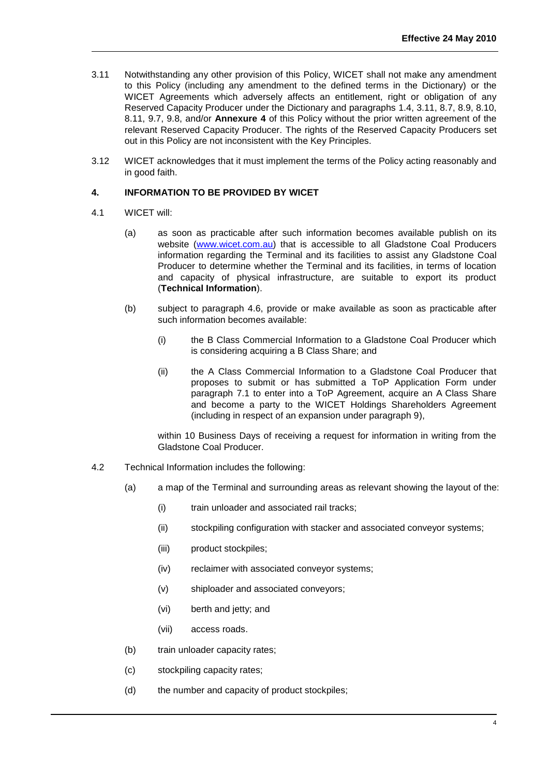- 3.11 Notwithstanding any other provision of this Policy, WICET shall not make any amendment to this Policy (including any amendment to the defined terms in the Dictionary) or the WICET Agreements which adversely affects an entitlement, right or obligation of any Reserved Capacity Producer under the Dictionary and paragraphs 1.4, 3.11, 8.7, 8.9, 8.10, 8.11, 9.7, 9.8, and/or **Annexure 4** of this Policy without the prior written agreement of the relevant Reserved Capacity Producer. The rights of the Reserved Capacity Producers set out in this Policy are not inconsistent with the Key Principles.
- 3.12 WICET acknowledges that it must implement the terms of the Policy acting reasonably and in good faith.

#### <span id="page-5-0"></span>**4. INFORMATION TO BE PROVIDED BY WICET**

- 4.1 WICET will:
	- (a) as soon as practicable after such information becomes available publish on its website [\(www.wicet.com.au\)](http://www.wicet.com.au/) that is accessible to all Gladstone Coal Producers information regarding the Terminal and its facilities to assist any Gladstone Coal Producer to determine whether the Terminal and its facilities, in terms of location and capacity of physical infrastructure, are suitable to export its product (**Technical Information**).
	- (b) subject to paragraph 4.6, provide or make available as soon as practicable after such information becomes available:
		- (i) the B Class Commercial Information to a Gladstone Coal Producer which is considering acquiring a B Class Share; and
		- (ii) the A Class Commercial Information to a Gladstone Coal Producer that proposes to submit or has submitted a ToP Application Form under paragraph 7.1 to enter into a ToP Agreement, acquire an A Class Share and become a party to the WICET Holdings Shareholders Agreement (including in respect of an expansion under paragraph 9),

within 10 Business Days of receiving a request for information in writing from the Gladstone Coal Producer.

- 4.2 Technical Information includes the following:
	- (a) a map of the Terminal and surrounding areas as relevant showing the layout of the:
		- (i) train unloader and associated rail tracks;
		- (ii) stockpiling configuration with stacker and associated conveyor systems;
		- (iii) product stockpiles;
		- (iv) reclaimer with associated conveyor systems;
		- (v) shiploader and associated conveyors;
		- (vi) berth and jetty; and
		- (vii) access roads.
	- (b) train unloader capacity rates;
	- (c) stockpiling capacity rates;
	- (d) the number and capacity of product stockpiles;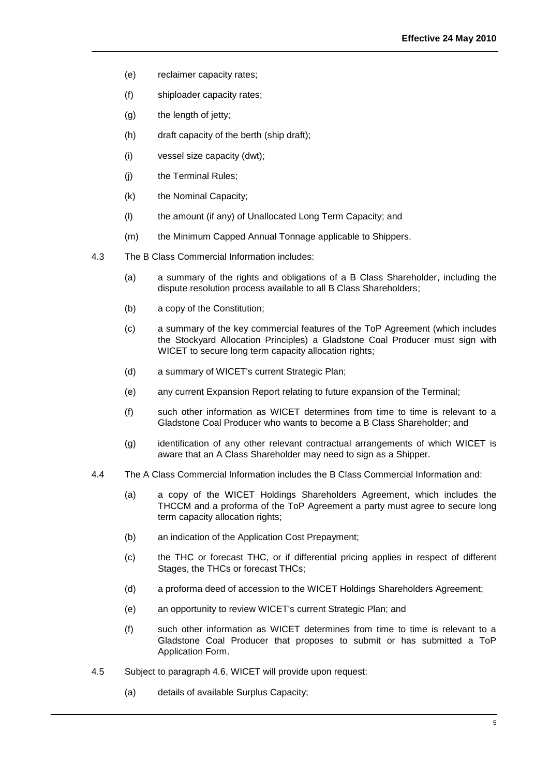- (e) reclaimer capacity rates;
- (f) shiploader capacity rates;
- (g) the length of jetty;
- (h) draft capacity of the berth (ship draft);
- (i) vessel size capacity (dwt);
- (j) the Terminal Rules;
- (k) the Nominal Capacity;
- (l) the amount (if any) of Unallocated Long Term Capacity; and
- (m) the Minimum Capped Annual Tonnage applicable to Shippers.
- 4.3 The B Class Commercial Information includes:
	- (a) a summary of the rights and obligations of a B Class Shareholder, including the dispute resolution process available to all B Class Shareholders;
	- (b) a copy of the Constitution;
	- (c) a summary of the key commercial features of the ToP Agreement (which includes the Stockyard Allocation Principles) a Gladstone Coal Producer must sign with WICET to secure long term capacity allocation rights;
	- (d) a summary of WICET's current Strategic Plan;
	- (e) any current Expansion Report relating to future expansion of the Terminal;
	- (f) such other information as WICET determines from time to time is relevant to a Gladstone Coal Producer who wants to become a B Class Shareholder; and
	- (g) identification of any other relevant contractual arrangements of which WICET is aware that an A Class Shareholder may need to sign as a Shipper.
- 4.4 The A Class Commercial Information includes the B Class Commercial Information and:
	- (a) a copy of the WICET Holdings Shareholders Agreement, which includes the THCCM and a proforma of the ToP Agreement a party must agree to secure long term capacity allocation rights;
	- (b) an indication of the Application Cost Prepayment;
	- (c) the THC or forecast THC, or if differential pricing applies in respect of different Stages, the THCs or forecast THCs;
	- (d) a proforma deed of accession to the WICET Holdings Shareholders Agreement;
	- (e) an opportunity to review WICET's current Strategic Plan; and
	- (f) such other information as WICET determines from time to time is relevant to a Gladstone Coal Producer that proposes to submit or has submitted a ToP Application Form.
- 4.5 Subject to paragraph 4.6, WICET will provide upon request:
	- (a) details of available Surplus Capacity;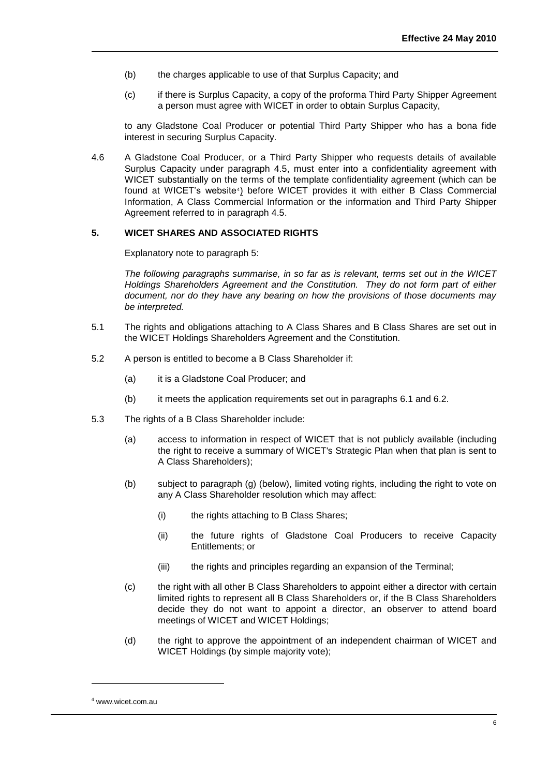- (b) the charges applicable to use of that Surplus Capacity; and
- (c) if there is Surplus Capacity, a copy of the proforma Third Party Shipper Agreement a person must agree with WICET in order to obtain Surplus Capacity,

to any Gladstone Coal Producer or potential Third Party Shipper who has a bona fide interest in securing Surplus Capacity.

4.6 A Gladstone Coal Producer, or a Third Party Shipper who requests details of available Surplus Capacity under paragraph 4.5, must enter into a confidentiality agreement with WICET substantially on the terms of the template confidentiality agreement (which can be found at WICET's website<sup>4</sup>) before WICET provides it with either B Class Commercial Information, A Class Commercial Information or the information and Third Party Shipper Agreement referred to in paragraph 4.5.

#### <span id="page-7-0"></span>**5. WICET SHARES AND ASSOCIATED RIGHTS**

Explanatory note to paragraph 5:

*The following paragraphs summarise, in so far as is relevant, terms set out in the WICET Holdings Shareholders Agreement and the Constitution. They do not form part of either document, nor do they have any bearing on how the provisions of those documents may be interpreted.* 

- 5.1 The rights and obligations attaching to A Class Shares and B Class Shares are set out in the WICET Holdings Shareholders Agreement and the Constitution.
- 5.2 A person is entitled to become a B Class Shareholder if:
	- (a) it is a Gladstone Coal Producer; and
	- (b) it meets the application requirements set out in paragraphs [6.1](#page-8-1) and [6.2.](#page-9-0)
- <span id="page-7-1"></span>5.3 The rights of a B Class Shareholder include:
	- (a) access to information in respect of WICET that is not publicly available (including the right to receive a summary of WICET's Strategic Plan when that plan is sent to A Class Shareholders);
	- (b) subject to paragraph (g) (below), limited voting rights, including the right to vote on any A Class Shareholder resolution which may affect:
		- (i) the rights attaching to B Class Shares;
		- (ii) the future rights of Gladstone Coal Producers to receive Capacity Entitlements; or
		- (iii) the rights and principles regarding an expansion of the Terminal;
	- (c) the right with all other B Class Shareholders to appoint either a director with certain limited rights to represent all B Class Shareholders or, if the B Class Shareholders decide they do not want to appoint a director, an observer to attend board meetings of WICET and WICET Holdings;
	- (d) the right to approve the appointment of an independent chairman of WICET and WICET Holdings (by simple majority vote);

l

<sup>4</sup> www.wicet.com.au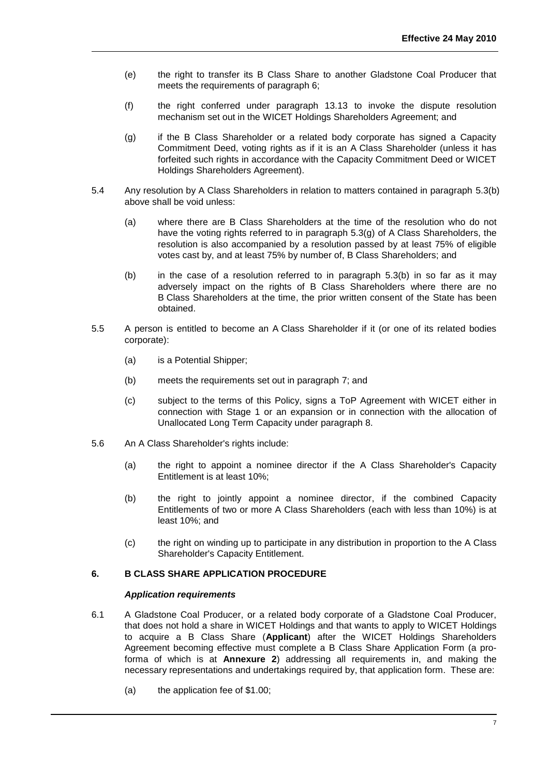- (e) the right to transfer its B Class Share to another Gladstone Coal Producer that meets the requirements of paragraph 6;
- (f) the right conferred under paragraph 13.13 to invoke the dispute resolution mechanism set out in the WICET Holdings Shareholders Agreement; and
- (g) if the B Class Shareholder or a related body corporate has signed a Capacity Commitment Deed, voting rights as if it is an A Class Shareholder (unless it has forfeited such rights in accordance with the Capacity Commitment Deed or WICET Holdings Shareholders Agreement).
- 5.4 Any resolution by A Class Shareholders in relation to matters contained in paragraph [5.3\(](#page-7-1)b) above shall be void unless:
	- (a) where there are B Class Shareholders at the time of the resolution who do not have the voting rights referred to in paragraph 5.3(g) of A Class Shareholders, the resolution is also accompanied by a resolution passed by at least 75% of eligible votes cast by, and at least 75% by number of, B Class Shareholders; and
	- (b) in the case of a resolution referred to in paragraph  $5.3(b)$  in so far as it may adversely impact on the rights of B Class Shareholders where there are no B Class Shareholders at the time, the prior written consent of the State has been obtained.
- 5.5 A person is entitled to become an A Class Shareholder if it (or one of its related bodies corporate):
	- (a) is a Potential Shipper;
	- (b) meets the requirements set out in paragraph 7; and
	- (c) subject to the terms of this Policy, signs a ToP Agreement with WICET either in connection with Stage 1 or an expansion or in connection with the allocation of Unallocated Long Term Capacity under paragraph 8.
- 5.6 An A Class Shareholder's rights include:
	- (a) the right to appoint a nominee director if the A Class Shareholder's Capacity Entitlement is at least 10%;
	- (b) the right to jointly appoint a nominee director, if the combined Capacity Entitlements of two or more A Class Shareholders (each with less than 10%) is at least 10%; and
	- (c) the right on winding up to participate in any distribution in proportion to the A Class Shareholder's Capacity Entitlement.

## <span id="page-8-0"></span>**6. B CLASS SHARE APPLICATION PROCEDURE**

#### *Application requirements*

- <span id="page-8-1"></span>6.1 A Gladstone Coal Producer, or a related body corporate of a Gladstone Coal Producer, that does not hold a share in WICET Holdings and that wants to apply to WICET Holdings to acquire a B Class Share (**Applicant**) after the WICET Holdings Shareholders Agreement becoming effective must complete a B Class Share Application Form (a proforma of which is at **Annexure 2**) addressing all requirements in, and making the necessary representations and undertakings required by, that application form. These are:
	- (a) the application fee of \$1.00;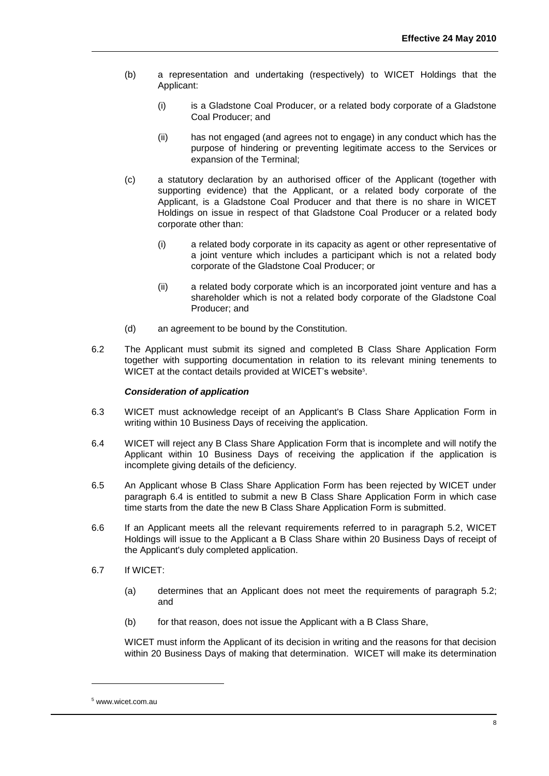- (b) a representation and undertaking (respectively) to WICET Holdings that the Applicant:
	- (i) is a Gladstone Coal Producer, or a related body corporate of a Gladstone Coal Producer; and
	- (ii) has not engaged (and agrees not to engage) in any conduct which has the purpose of hindering or preventing legitimate access to the Services or expansion of the Terminal;
- (c) a statutory declaration by an authorised officer of the Applicant (together with supporting evidence) that the Applicant, or a related body corporate of the Applicant, is a Gladstone Coal Producer and that there is no share in WICET Holdings on issue in respect of that Gladstone Coal Producer or a related body corporate other than:
	- (i) a related body corporate in its capacity as agent or other representative of a joint venture which includes a participant which is not a related body corporate of the Gladstone Coal Producer; or
	- (ii) a related body corporate which is an incorporated joint venture and has a shareholder which is not a related body corporate of the Gladstone Coal Producer; and
- (d) an agreement to be bound by the Constitution.
- <span id="page-9-0"></span>6.2 The Applicant must submit its signed and completed B Class Share Application Form together with supporting documentation in relation to its relevant mining tenements to WICET at the contact details provided at WICET's website<sup>5</sup>.

## *Consideration of application*

- 6.3 WICET must acknowledge receipt of an Applicant's B Class Share Application Form in writing within 10 Business Days of receiving the application.
- <span id="page-9-1"></span>6.4 WICET will reject any B Class Share Application Form that is incomplete and will notify the Applicant within 10 Business Days of receiving the application if the application is incomplete giving details of the deficiency.
- 6.5 An Applicant whose B Class Share Application Form has been rejected by WICET under paragraph [6.4](#page-9-1) is entitled to submit a new B Class Share Application Form in which case time starts from the date the new B Class Share Application Form is submitted.
- 6.6 If an Applicant meets all the relevant requirements referred to in paragraph 5.2, WICET Holdings will issue to the Applicant a B Class Share within 20 Business Days of receipt of the Applicant's duly completed application.
- 6.7 If WICET:
	- (a) determines that an Applicant does not meet the requirements of paragraph 5.2; and
	- (b) for that reason, does not issue the Applicant with a B Class Share,

WICET must inform the Applicant of its decision in writing and the reasons for that decision within 20 Business Days of making that determination. WICET will make its determination

l

<sup>5</sup> www.wicet.com.au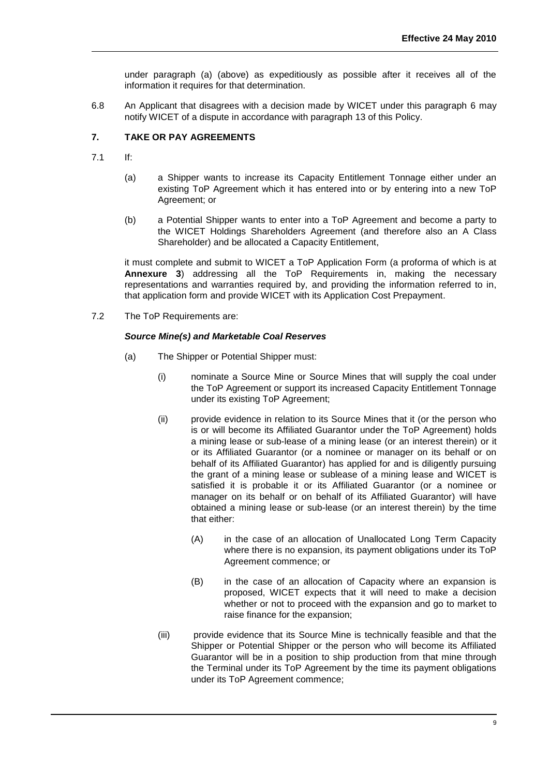under paragraph (a) (above) as expeditiously as possible after it receives all of the information it requires for that determination.

6.8 An Applicant that disagrees with a decision made by WICET under this paragraph [6](#page-8-0) may notify WICET of a dispute in accordance with paragraph [13](#page-31-0) of this Policy.

## <span id="page-10-0"></span>**7. TAKE OR PAY AGREEMENTS**

- 7.1 If:
	- (a) a Shipper wants to increase its Capacity Entitlement Tonnage either under an existing ToP Agreement which it has entered into or by entering into a new ToP Agreement; or
	- (b) a Potential Shipper wants to enter into a ToP Agreement and become a party to the WICET Holdings Shareholders Agreement (and therefore also an A Class Shareholder) and be allocated a Capacity Entitlement,

it must complete and submit to WICET a ToP Application Form (a proforma of which is at **Annexure 3**) addressing all the ToP Requirements in, making the necessary representations and warranties required by, and providing the information referred to in, that application form and provide WICET with its Application Cost Prepayment.

<span id="page-10-1"></span>7.2 The ToP Requirements are:

#### *Source Mine(s) and Marketable Coal Reserves*

- (a) The Shipper or Potential Shipper must:
	- (i) nominate a Source Mine or Source Mines that will supply the coal under the ToP Agreement or support its increased Capacity Entitlement Tonnage under its existing ToP Agreement;
	- (ii) provide evidence in relation to its Source Mines that it (or the person who is or will become its Affiliated Guarantor under the ToP Agreement) holds a mining lease or sub-lease of a mining lease (or an interest therein) or it or its Affiliated Guarantor (or a nominee or manager on its behalf or on behalf of its Affiliated Guarantor) has applied for and is diligently pursuing the grant of a mining lease or sublease of a mining lease and WICET is satisfied it is probable it or its Affiliated Guarantor (or a nominee or manager on its behalf or on behalf of its Affiliated Guarantor) will have obtained a mining lease or sub-lease (or an interest therein) by the time that either:
		- (A) in the case of an allocation of Unallocated Long Term Capacity where there is no expansion, its payment obligations under its ToP Agreement commence; or
		- (B) in the case of an allocation of Capacity where an expansion is proposed, WICET expects that it will need to make a decision whether or not to proceed with the expansion and go to market to raise finance for the expansion;
	- (iii) provide evidence that its Source Mine is technically feasible and that the Shipper or Potential Shipper or the person who will become its Affiliated Guarantor will be in a position to ship production from that mine through the Terminal under its ToP Agreement by the time its payment obligations under its ToP Agreement commence;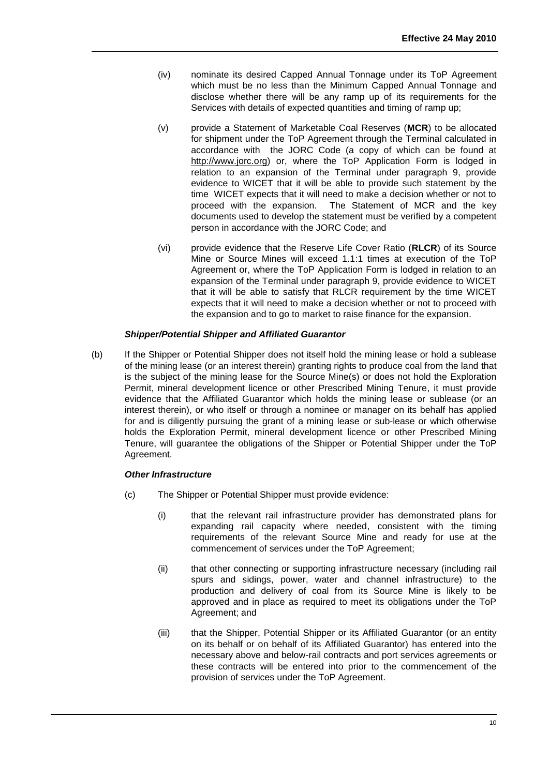- (iv) nominate its desired Capped Annual Tonnage under its ToP Agreement which must be no less than the Minimum Capped Annual Tonnage and disclose whether there will be any ramp up of its requirements for the Services with details of expected quantities and timing of ramp up;
- (v) provide a Statement of Marketable Coal Reserves (**MCR**) to be allocated for shipment under the ToP Agreement through the Terminal calculated in accordance with the JORC Code (a copy of which can be found at http://www.jorc.org) or, where the ToP Application Form is lodged in relation to an expansion of the Terminal under paragraph 9, provide evidence to WICET that it will be able to provide such statement by the time WICET expects that it will need to make a decision whether or not to proceed with the expansion. The Statement of MCR and the key documents used to develop the statement must be verified by a competent person in accordance with the JORC Code; and
- (vi) provide evidence that the Reserve Life Cover Ratio (**RLCR**) of its Source Mine or Source Mines will exceed 1.1:1 times at execution of the ToP Agreement or, where the ToP Application Form is lodged in relation to an expansion of the Terminal under paragraph 9, provide evidence to WICET that it will be able to satisfy that RLCR requirement by the time WICET expects that it will need to make a decision whether or not to proceed with the expansion and to go to market to raise finance for the expansion.

## *Shipper/Potential Shipper and Affiliated Guarantor*

(b) If the Shipper or Potential Shipper does not itself hold the mining lease or hold a sublease of the mining lease (or an interest therein) granting rights to produce coal from the land that is the subject of the mining lease for the Source Mine(s) or does not hold the Exploration Permit, mineral development licence or other Prescribed Mining Tenure, it must provide evidence that the Affiliated Guarantor which holds the mining lease or sublease (or an interest therein), or who itself or through a nominee or manager on its behalf has applied for and is diligently pursuing the grant of a mining lease or sub-lease or which otherwise holds the Exploration Permit, mineral development licence or other Prescribed Mining Tenure, will guarantee the obligations of the Shipper or Potential Shipper under the ToP Agreement.

## *Other Infrastructure*

- (c) The Shipper or Potential Shipper must provide evidence:
	- (i) that the relevant rail infrastructure provider has demonstrated plans for expanding rail capacity where needed, consistent with the timing requirements of the relevant Source Mine and ready for use at the commencement of services under the ToP Agreement;
	- (ii) that other connecting or supporting infrastructure necessary (including rail spurs and sidings, power, water and channel infrastructure) to the production and delivery of coal from its Source Mine is likely to be approved and in place as required to meet its obligations under the ToP Agreement; and
	- (iii) that the Shipper, Potential Shipper or its Affiliated Guarantor (or an entity on its behalf or on behalf of its Affiliated Guarantor) has entered into the necessary above and below-rail contracts and port services agreements or these contracts will be entered into prior to the commencement of the provision of services under the ToP Agreement.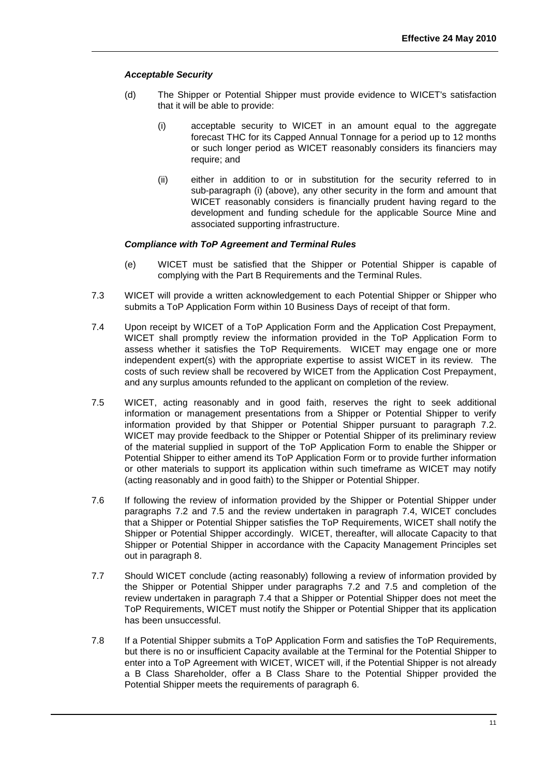## *Acceptable Security*

- (d) The Shipper or Potential Shipper must provide evidence to WICET's satisfaction that it will be able to provide:
	- (i) acceptable security to WICET in an amount equal to the aggregate forecast THC for its Capped Annual Tonnage for a period up to 12 months or such longer period as WICET reasonably considers its financiers may require; and
	- (ii) either in addition to or in substitution for the security referred to in sub-paragraph (i) (above), any other security in the form and amount that WICET reasonably considers is financially prudent having regard to the development and funding schedule for the applicable Source Mine and associated supporting infrastructure.

## *Compliance with ToP Agreement and Terminal Rules*

- (e) WICET must be satisfied that the Shipper or Potential Shipper is capable of complying with the Part B Requirements and the Terminal Rules.
- 7.3 WICET will provide a written acknowledgement to each Potential Shipper or Shipper who submits a ToP Application Form within 10 Business Days of receipt of that form.
- <span id="page-12-0"></span>7.4 Upon receipt by WICET of a ToP Application Form and the Application Cost Prepayment, WICET shall promptly review the information provided in the ToP Application Form to assess whether it satisfies the ToP Requirements. WICET may engage one or more independent expert(s) with the appropriate expertise to assist WICET in its review. The costs of such review shall be recovered by WICET from the Application Cost Prepayment, and any surplus amounts refunded to the applicant on completion of the review.
- 7.5 WICET, acting reasonably and in good faith, reserves the right to seek additional information or management presentations from a Shipper or Potential Shipper to verify information provided by that Shipper or Potential Shipper pursuant to paragraph [7.2.](#page-10-1) WICET may provide feedback to the Shipper or Potential Shipper of its preliminary review of the material supplied in support of the ToP Application Form to enable the Shipper or Potential Shipper to either amend its ToP Application Form or to provide further information or other materials to support its application within such timeframe as WICET may notify (acting reasonably and in good faith) to the Shipper or Potential Shipper.
- 7.6 If following the review of information provided by the Shipper or Potential Shipper under paragraphs 7.2 and 7.5 and the review undertaken in paragraph [7.4,](#page-12-0) WICET concludes that a Shipper or Potential Shipper satisfies the ToP Requirements, WICET shall notify the Shipper or Potential Shipper accordingly. WICET, thereafter, will allocate Capacity to that Shipper or Potential Shipper in accordance with the Capacity Management Principles set out in paragraph 8.
- 7.7 Should WICET conclude (acting reasonably) following a review of information provided by the Shipper or Potential Shipper under paragraphs 7.2 and 7.5 and completion of the review undertaken in paragraph [7.4](#page-12-0) that a Shipper or Potential Shipper does not meet the ToP Requirements, WICET must notify the Shipper or Potential Shipper that its application has been unsuccessful.
- 7.8 If a Potential Shipper submits a ToP Application Form and satisfies the ToP Requirements, but there is no or insufficient Capacity available at the Terminal for the Potential Shipper to enter into a ToP Agreement with WICET, WICET will, if the Potential Shipper is not already a B Class Shareholder, offer a B Class Share to the Potential Shipper provided the Potential Shipper meets the requirements of paragraph [6.](#page-8-0)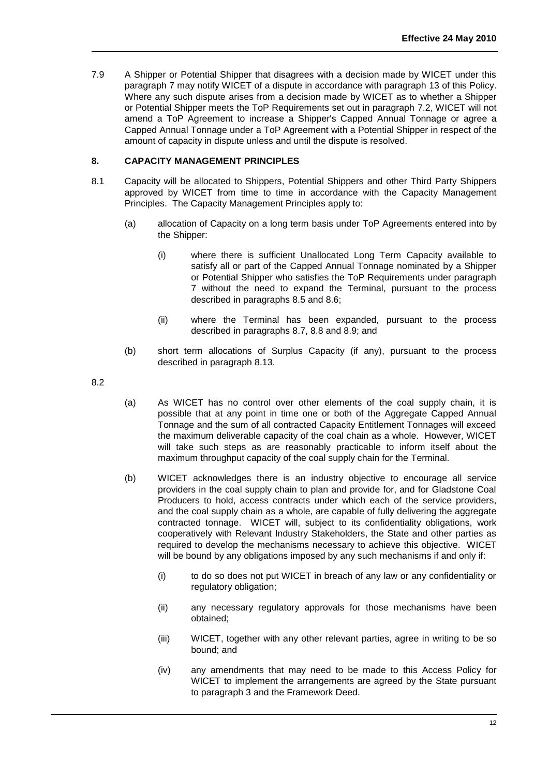7.9 A Shipper or Potential Shipper that disagrees with a decision made by WICET under this paragraph [7](#page-10-0) may notify WICET of a dispute in accordance with paragraph [13](#page-31-0) of this Policy. Where any such dispute arises from a decision made by WICET as to whether a Shipper or Potential Shipper meets the ToP Requirements set out in paragraph [7.2,](#page-10-1) WICET will not amend a ToP Agreement to increase a Shipper's Capped Annual Tonnage or agree a Capped Annual Tonnage under a ToP Agreement with a Potential Shipper in respect of the amount of capacity in dispute unless and until the dispute is resolved.

## <span id="page-13-0"></span>**8. CAPACITY MANAGEMENT PRINCIPLES**

- 8.1 Capacity will be allocated to Shippers, Potential Shippers and other Third Party Shippers approved by WICET from time to time in accordance with the Capacity Management Principles. The Capacity Management Principles apply to:
	- (a) allocation of Capacity on a long term basis under ToP Agreements entered into by the Shipper:
		- (i) where there is sufficient Unallocated Long Term Capacity available to satisfy all or part of the Capped Annual Tonnage nominated by a Shipper or Potential Shipper who satisfies the ToP Requirements under paragraph [7](#page-10-0) without the need to expand the Terminal, pursuant to the process described in paragraphs 8.5 and 8.6;
		- (ii) where the Terminal has been expanded, pursuant to the process described in paragraphs 8.7, 8.8 and 8.9; and
	- (b) short term allocations of Surplus Capacity (if any), pursuant to the process described in paragraph 8.13.

8.2

- (a) As WICET has no control over other elements of the coal supply chain, it is possible that at any point in time one or both of the Aggregate Capped Annual Tonnage and the sum of all contracted Capacity Entitlement Tonnages will exceed the maximum deliverable capacity of the coal chain as a whole. However, WICET will take such steps as are reasonably practicable to inform itself about the maximum throughput capacity of the coal supply chain for the Terminal.
- (b) WICET acknowledges there is an industry objective to encourage all service providers in the coal supply chain to plan and provide for, and for Gladstone Coal Producers to hold, access contracts under which each of the service providers, and the coal supply chain as a whole, are capable of fully delivering the aggregate contracted tonnage. WICET will, subject to its confidentiality obligations, work cooperatively with Relevant Industry Stakeholders, the State and other parties as required to develop the mechanisms necessary to achieve this objective. WICET will be bound by any obligations imposed by any such mechanisms if and only if:
	- (i) to do so does not put WICET in breach of any law or any confidentiality or regulatory obligation;
	- (ii) any necessary regulatory approvals for those mechanisms have been obtained;
	- (iii) WICET, together with any other relevant parties, agree in writing to be so bound; and
	- (iv) any amendments that may need to be made to this Access Policy for WICET to implement the arrangements are agreed by the State pursuant to paragraph 3 and the Framework Deed.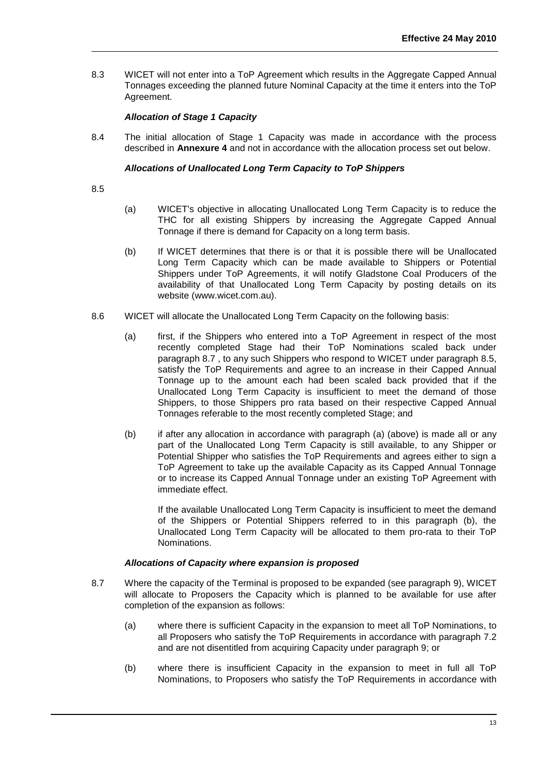8.3 WICET will not enter into a ToP Agreement which results in the Aggregate Capped Annual Tonnages exceeding the planned future Nominal Capacity at the time it enters into the ToP Agreement.

## *Allocation of Stage 1 Capacity*

8.4 The initial allocation of Stage 1 Capacity was made in accordance with the process described in **Annexure 4** and not in accordance with the allocation process set out below.

## *Allocations of Unallocated Long Term Capacity to ToP Shippers*

8.5

- (a) WICET's objective in allocating Unallocated Long Term Capacity is to reduce the THC for all existing Shippers by increasing the Aggregate Capped Annual Tonnage if there is demand for Capacity on a long term basis.
- (b) If WICET determines that there is or that it is possible there will be Unallocated Long Term Capacity which can be made available to Shippers or Potential Shippers under ToP Agreements, it will notify Gladstone Coal Producers of the availability of that Unallocated Long Term Capacity by posting details on its website (www.wicet.com.au).
- 8.6 WICET will allocate the Unallocated Long Term Capacity on the following basis:
	- (a) first, if the Shippers who entered into a ToP Agreement in respect of the most recently completed Stage had their ToP Nominations scaled back under paragraph 8.7 , to any such Shippers who respond to WICET under paragraph 8.5, satisfy the ToP Requirements and agree to an increase in their Capped Annual Tonnage up to the amount each had been scaled back provided that if the Unallocated Long Term Capacity is insufficient to meet the demand of those Shippers, to those Shippers pro rata based on their respective Capped Annual Tonnages referable to the most recently completed Stage; and
	- (b) if after any allocation in accordance with paragraph (a) (above) is made all or any part of the Unallocated Long Term Capacity is still available, to any Shipper or Potential Shipper who satisfies the ToP Requirements and agrees either to sign a ToP Agreement to take up the available Capacity as its Capped Annual Tonnage or to increase its Capped Annual Tonnage under an existing ToP Agreement with immediate effect.

If the available Unallocated Long Term Capacity is insufficient to meet the demand of the Shippers or Potential Shippers referred to in this paragraph (b), the Unallocated Long Term Capacity will be allocated to them pro-rata to their ToP Nominations.

## *Allocations of Capacity where expansion is proposed*

- 8.7 Where the capacity of the Terminal is proposed to be expanded (see paragraph [9\)](#page-19-0), WICET will allocate to Proposers the Capacity which is planned to be available for use after completion of the expansion as follows:
	- (a) where there is sufficient Capacity in the expansion to meet all ToP Nominations, to all Proposers who satisfy the ToP Requirements in accordance with paragraph 7.2 and are not disentitled from acquiring Capacity under paragraph 9; or
	- (b) where there is insufficient Capacity in the expansion to meet in full all ToP Nominations, to Proposers who satisfy the ToP Requirements in accordance with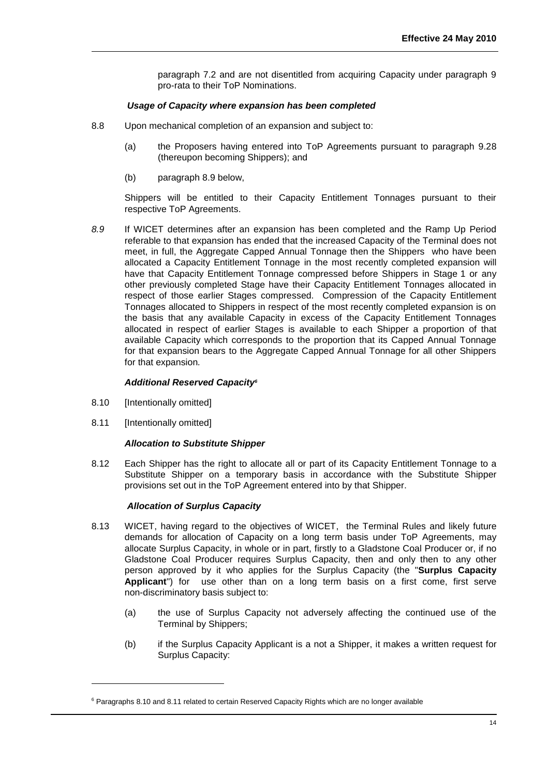paragraph 7.2 and are not disentitled from acquiring Capacity under paragraph 9 pro-rata to their ToP Nominations.

## *Usage of Capacity where expansion has been completed*

- 8.8 Upon mechanical completion of an expansion and subject to:
	- (a) the Proposers having entered into ToP Agreements pursuant to paragraph 9.28 (thereupon becoming Shippers); and
	- (b) paragraph 8.9 below,

Shippers will be entitled to their Capacity Entitlement Tonnages pursuant to their respective ToP Agreements.

*8.9* If WICET determines after an expansion has been completed and the Ramp Up Period referable to that expansion has ended that the increased Capacity of the Terminal does not meet, in full, the Aggregate Capped Annual Tonnage then the Shippers who have been allocated a Capacity Entitlement Tonnage in the most recently completed expansion will have that Capacity Entitlement Tonnage compressed before Shippers in Stage 1 or any other previously completed Stage have their Capacity Entitlement Tonnages allocated in respect of those earlier Stages compressed. Compression of the Capacity Entitlement Tonnages allocated to Shippers in respect of the most recently completed expansion is on the basis that any available Capacity in excess of the Capacity Entitlement Tonnages allocated in respect of earlier Stages is available to each Shipper a proportion of that available Capacity which corresponds to the proportion that its Capped Annual Tonnage for that expansion bears to the Aggregate Capped Annual Tonnage for all other Shippers for that expansion*.*

#### *Additional Reserved Capacity<sup>6</sup>*

- 8.10 [Intentionally omitted]
- <span id="page-15-1"></span>8.11 [Intentionally omitted]

l

## *Allocation to Substitute Shipper*

8.12 Each Shipper has the right to allocate all or part of its Capacity Entitlement Tonnage to a Substitute Shipper on a temporary basis in accordance with the Substitute Shipper provisions set out in the ToP Agreement entered into by that Shipper.

## *Allocation of Surplus Capacity*

- <span id="page-15-0"></span>8.13 WICET, having regard to the objectives of WICET, the Terminal Rules and likely future demands for allocation of Capacity on a long term basis under ToP Agreements, may allocate Surplus Capacity, in whole or in part, firstly to a Gladstone Coal Producer or, if no Gladstone Coal Producer requires Surplus Capacity, then and only then to any other person approved by it who applies for the Surplus Capacity (the "**Surplus Capacity Applicant**") for use other than on a long term basis on a first come, first serve non-discriminatory basis subject to:
	- (a) the use of Surplus Capacity not adversely affecting the continued use of the Terminal by Shippers;
	- (b) if the Surplus Capacity Applicant is a not a Shipper, it makes a written request for Surplus Capacity:

<sup>&</sup>lt;sup>6</sup> Paragraphs 8.10 and 8.11 related to certain Reserved Capacity Rights which are no longer available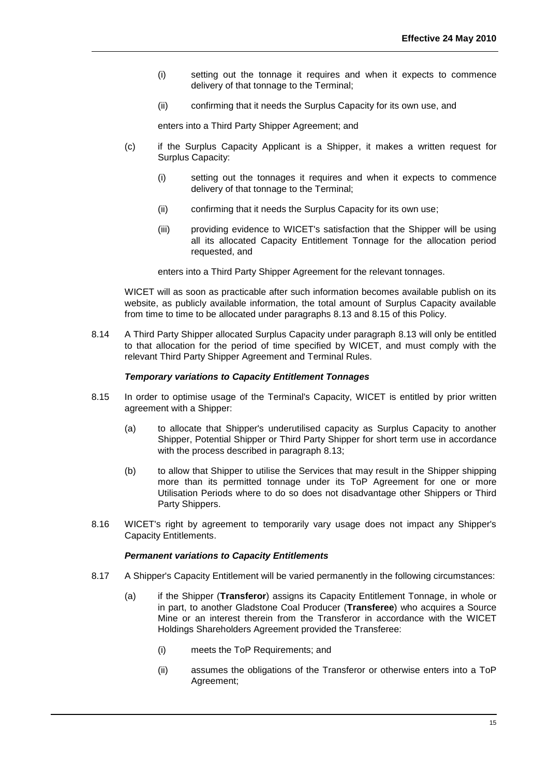- (i) setting out the tonnage it requires and when it expects to commence delivery of that tonnage to the Terminal;
- (ii) confirming that it needs the Surplus Capacity for its own use, and

enters into a Third Party Shipper Agreement; and

- (c) if the Surplus Capacity Applicant is a Shipper, it makes a written request for Surplus Capacity:
	- (i) setting out the tonnages it requires and when it expects to commence delivery of that tonnage to the Terminal;
	- (ii) confirming that it needs the Surplus Capacity for its own use;
	- (iii) providing evidence to WICET's satisfaction that the Shipper will be using all its allocated Capacity Entitlement Tonnage for the allocation period requested, and

enters into a Third Party Shipper Agreement for the relevant tonnages.

WICET will as soon as practicable after such information becomes available publish on its website, as publicly available information, the total amount of Surplus Capacity available from time to time to be allocated under paragraphs 8.13 and 8.15 of this Policy.

8.14 A Third Party Shipper allocated Surplus Capacity under paragraph [8.13](#page-15-0) will only be entitled to that allocation for the period of time specified by WICET, and must comply with the relevant Third Party Shipper Agreement and Terminal Rules.

#### *Temporary variations to Capacity Entitlement Tonnages*

- 8.15 In order to optimise usage of the Terminal's Capacity, WICET is entitled by prior written agreement with a Shipper:
	- (a) to allocate that Shipper's underutilised capacity as Surplus Capacity to another Shipper, Potential Shipper or Third Party Shipper for short term use in accordance with the process described in paragraph 8.13;
	- (b) to allow that Shipper to utilise the Services that may result in the Shipper shipping more than its permitted tonnage under its ToP Agreement for one or more Utilisation Periods where to do so does not disadvantage other Shippers or Third Party Shippers.
- 8.16 WICET's right by agreement to temporarily vary usage does not impact any Shipper's Capacity Entitlements.

#### *Permanent variations to Capacity Entitlements*

- <span id="page-16-0"></span>8.17 A Shipper's Capacity Entitlement will be varied permanently in the following circumstances:
	- (a) if the Shipper (**Transferor**) assigns its Capacity Entitlement Tonnage, in whole or in part, to another Gladstone Coal Producer (**Transferee**) who acquires a Source Mine or an interest therein from the Transferor in accordance with the WICET Holdings Shareholders Agreement provided the Transferee:
		- (i) meets the ToP Requirements; and
		- (ii) assumes the obligations of the Transferor or otherwise enters into a ToP Agreement;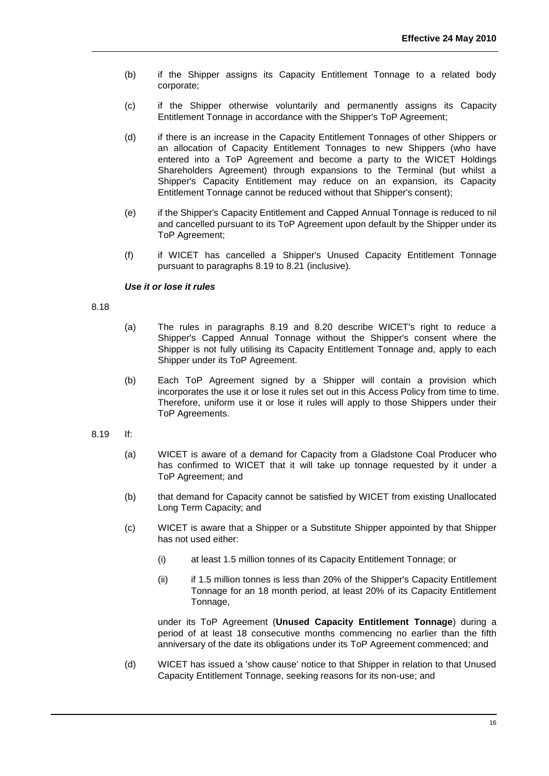- (b) if the Shipper assigns its Capacity Entitlement Tonnage to a related body corporate;
- (c) if the Shipper otherwise voluntarily and permanently assigns its Capacity Entitlement Tonnage in accordance with the Shipper's ToP Agreement;
- (d) if there is an increase in the Capacity Entitlement Tonnages of other Shippers or an allocation of Capacity Entitlement Tonnages to new Shippers (who have entered into a ToP Agreement and become a party to the WICET Holdings Shareholders Agreement) through expansions to the Terminal (but whilst a Shipper's Capacity Entitlement may reduce on an expansion, its Capacity Entitlement Tonnage cannot be reduced without that Shipper's consent);
- (e) if the Shipper's Capacity Entitlement and Capped Annual Tonnage is reduced to nil and cancelled pursuant to its ToP Agreement upon default by the Shipper under its ToP Agreement;
- (f) if WICET has cancelled a Shipper's Unused Capacity Entitlement Tonnage pursuant to paragraphs 8.19 to 8.21 (inclusive).

## *Use it or lose it rules*

#### 8.18

- (a) The rules in paragraphs 8.19 and 8.20 describe WICET's right to reduce a Shipper's Capped Annual Tonnage without the Shipper's consent where the Shipper is not fully utilising its Capacity Entitlement Tonnage and, apply to each Shipper under its ToP Agreement.
- (b) Each ToP Agreement signed by a Shipper will contain a provision which incorporates the use it or lose it rules set out in this Access Policy from time to time. Therefore, uniform use it or lose it rules will apply to those Shippers under their ToP Agreements.
- <span id="page-17-0"></span>8.19 If:
	- (a) WICET is aware of a demand for Capacity from a Gladstone Coal Producer who has confirmed to WICET that it will take up tonnage requested by it under a ToP Agreement; and
	- (b) that demand for Capacity cannot be satisfied by WICET from existing Unallocated Long Term Capacity; and
	- (c) WICET is aware that a Shipper or a Substitute Shipper appointed by that Shipper has not used either:
		- (i) at least 1.5 million tonnes of its Capacity Entitlement Tonnage; or
		- (ii) if 1.5 million tonnes is less than 20% of the Shipper's Capacity Entitlement Tonnage for an 18 month period, at least 20% of its Capacity Entitlement Tonnage,

under its ToP Agreement (**Unused Capacity Entitlement Tonnage**) during a period of at least 18 consecutive months commencing no earlier than the fifth anniversary of the date its obligations under its ToP Agreement commenced; and

(d) WICET has issued a 'show cause' notice to that Shipper in relation to that Unused Capacity Entitlement Tonnage, seeking reasons for its non-use; and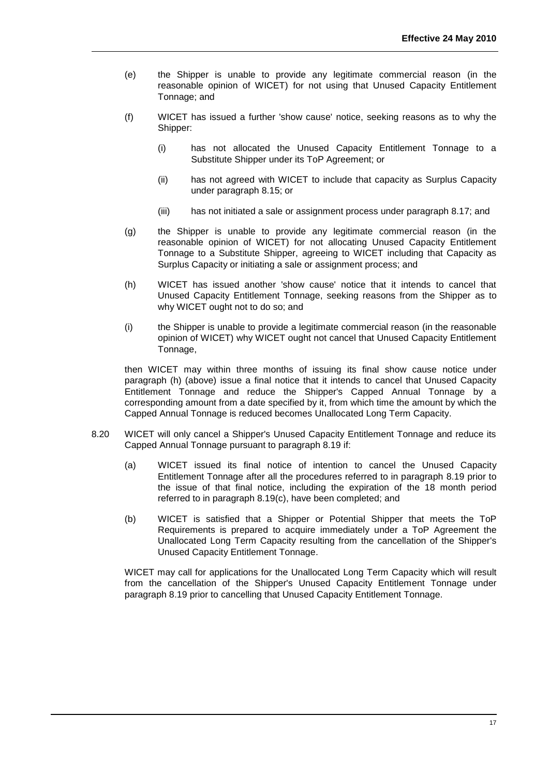- (e) the Shipper is unable to provide any legitimate commercial reason (in the reasonable opinion of WICET) for not using that Unused Capacity Entitlement Tonnage; and
- (f) WICET has issued a further 'show cause' notice, seeking reasons as to why the Shipper:
	- (i) has not allocated the Unused Capacity Entitlement Tonnage to a Substitute Shipper under its ToP Agreement; or
	- (ii) has not agreed with WICET to include that capacity as Surplus Capacity under paragraph 8.15; or
	- (iii) has not initiated a sale or assignment process under paragraph 8.17; and
- (g) the Shipper is unable to provide any legitimate commercial reason (in the reasonable opinion of WICET) for not allocating Unused Capacity Entitlement Tonnage to a Substitute Shipper, agreeing to WICET including that Capacity as Surplus Capacity or initiating a sale or assignment process; and
- (h) WICET has issued another 'show cause' notice that it intends to cancel that Unused Capacity Entitlement Tonnage, seeking reasons from the Shipper as to why WICET ought not to do so; and
- (i) the Shipper is unable to provide a legitimate commercial reason (in the reasonable opinion of WICET) why WICET ought not cancel that Unused Capacity Entitlement Tonnage,

then WICET may within three months of issuing its final show cause notice under paragraph (h) (above) issue a final notice that it intends to cancel that Unused Capacity Entitlement Tonnage and reduce the Shipper's Capped Annual Tonnage by a corresponding amount from a date specified by it, from which time the amount by which the Capped Annual Tonnage is reduced becomes Unallocated Long Term Capacity.

- 8.20 WICET will only cancel a Shipper's Unused Capacity Entitlement Tonnage and reduce its Capped Annual Tonnage pursuant to paragraph 8.19 if:
	- (a) WICET issued its final notice of intention to cancel the Unused Capacity Entitlement Tonnage after all the procedures referred to in paragraph [8.19](#page-17-0) prior to the issue of that final notice, including the expiration of the 18 month period referred to in paragraph 8.19(c), have been completed; and
	- (b) WICET is satisfied that a Shipper or Potential Shipper that meets the ToP Requirements is prepared to acquire immediately under a ToP Agreement the Unallocated Long Term Capacity resulting from the cancellation of the Shipper's Unused Capacity Entitlement Tonnage.

WICET may call for applications for the Unallocated Long Term Capacity which will result from the cancellation of the Shipper's Unused Capacity Entitlement Tonnage under paragraph 8.19 prior to cancelling that Unused Capacity Entitlement Tonnage.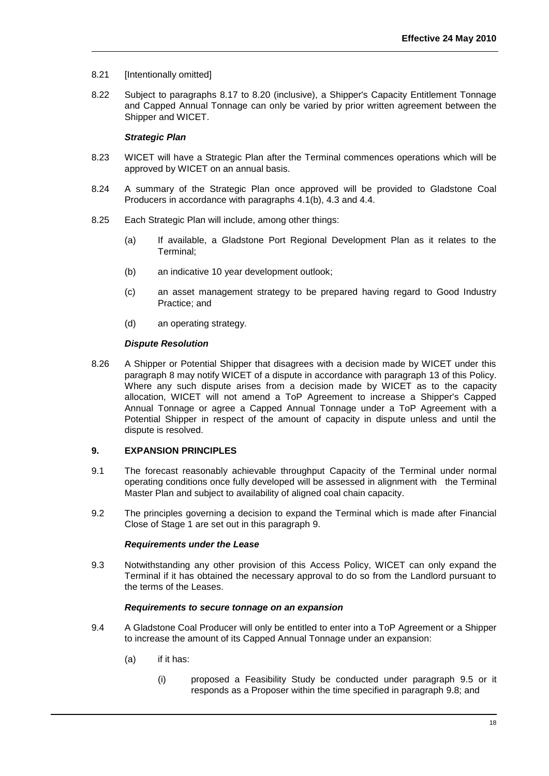- 8.21 [Intentionally omitted]
- 8.22 Subject to paragraphs 8.17 to 8.20 (inclusive), a Shipper's Capacity Entitlement Tonnage and Capped Annual Tonnage can only be varied by prior written agreement between the Shipper and WICET.

#### *Strategic Plan*

- 8.23 WICET will have a Strategic Plan after the Terminal commences operations which will be approved by WICET on an annual basis.
- 8.24 A summary of the Strategic Plan once approved will be provided to Gladstone Coal Producers in accordance with paragraphs 4.1(b), 4.3 and 4.4.
- 8.25 Each Strategic Plan will include, among other things:
	- (a) If available, a Gladstone Port Regional Development Plan as it relates to the Terminal;
	- (b) an indicative 10 year development outlook;
	- (c) an asset management strategy to be prepared having regard to Good Industry Practice; and
	- (d) an operating strategy.

#### *Dispute Resolution*

8.26 A Shipper or Potential Shipper that disagrees with a decision made by WICET under this paragraph 8 may notify WICET of a dispute in accordance with paragraph [13](#page-31-0) of this Policy. Where any such dispute arises from a decision made by WICET as to the capacity allocation, WICET will not amend a ToP Agreement to increase a Shipper's Capped Annual Tonnage or agree a Capped Annual Tonnage under a ToP Agreement with a Potential Shipper in respect of the amount of capacity in dispute unless and until the dispute is resolved.

## <span id="page-19-0"></span>**9. EXPANSION PRINCIPLES**

- 9.1 The forecast reasonably achievable throughput Capacity of the Terminal under normal operating conditions once fully developed will be assessed in alignment with the Terminal Master Plan and subject to availability of aligned coal chain capacity.
- 9.2 The principles governing a decision to expand the Terminal which is made after Financial Close of Stage 1 are set out in this paragraph [9.](#page-19-0)

#### *Requirements under the Lease*

9.3 Notwithstanding any other provision of this Access Policy, WICET can only expand the Terminal if it has obtained the necessary approval to do so from the Landlord pursuant to the terms of the Leases.

#### *Requirements to secure tonnage on an expansion*

- <span id="page-19-1"></span>9.4 A Gladstone Coal Producer will only be entitled to enter into a ToP Agreement or a Shipper to increase the amount of its Capped Annual Tonnage under an expansion:
	- (a) if it has:
		- (i) proposed a Feasibility Study be conducted under paragraph 9.5 or it responds as a Proposer within the time specified in paragraph 9.8; and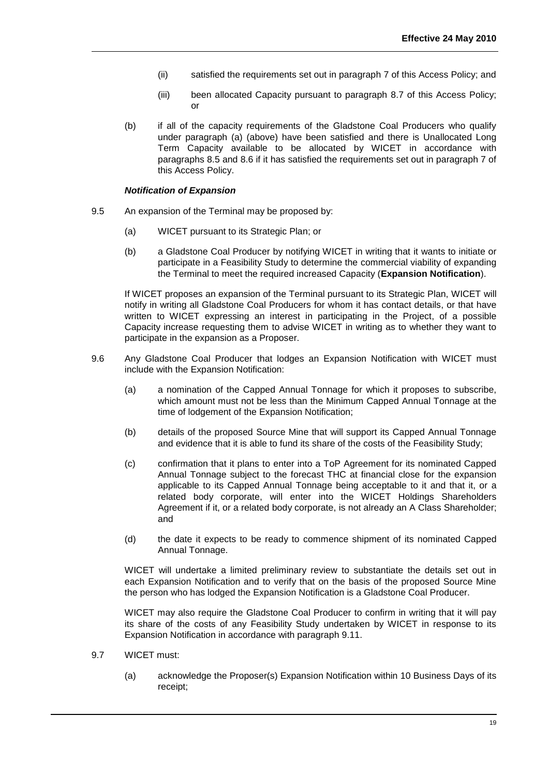- (ii) satisfied the requirements set out in paragraph [7](#page-10-0) of this Access Policy; and
- (iii) been allocated Capacity pursuant to paragraph 8.7 of this Access Policy; or
- (b) if all of the capacity requirements of the Gladstone Coal Producers who qualify under paragraph [\(a\)](#page-19-1) (above) have been satisfied and there is Unallocated Long Term Capacity available to be allocated by WICET in accordance with paragraphs 8.5 and 8.6 if it has satisfied the requirements set out in paragraph 7 of this Access Policy.

#### *Notification of Expansion*

- 9.5 An expansion of the Terminal may be proposed by:
	- (a) WICET pursuant to its Strategic Plan; or
	- (b) a Gladstone Coal Producer by notifying WICET in writing that it wants to initiate or participate in a Feasibility Study to determine the commercial viability of expanding the Terminal to meet the required increased Capacity (**Expansion Notification**).

If WICET proposes an expansion of the Terminal pursuant to its Strategic Plan, WICET will notify in writing all Gladstone Coal Producers for whom it has contact details, or that have written to WICET expressing an interest in participating in the Project, of a possible Capacity increase requesting them to advise WICET in writing as to whether they want to participate in the expansion as a Proposer.

- <span id="page-20-0"></span>9.6 Any Gladstone Coal Producer that lodges an Expansion Notification with WICET must include with the Expansion Notification:
	- (a) a nomination of the Capped Annual Tonnage for which it proposes to subscribe, which amount must not be less than the Minimum Capped Annual Tonnage at the time of lodgement of the Expansion Notification;
	- (b) details of the proposed Source Mine that will support its Capped Annual Tonnage and evidence that it is able to fund its share of the costs of the Feasibility Study;
	- (c) confirmation that it plans to enter into a ToP Agreement for its nominated Capped Annual Tonnage subject to the forecast THC at financial close for the expansion applicable to its Capped Annual Tonnage being acceptable to it and that it, or a related body corporate, will enter into the WICET Holdings Shareholders Agreement if it, or a related body corporate, is not already an A Class Shareholder; and
	- (d) the date it expects to be ready to commence shipment of its nominated Capped Annual Tonnage.

WICET will undertake a limited preliminary review to substantiate the details set out in each Expansion Notification and to verify that on the basis of the proposed Source Mine the person who has lodged the Expansion Notification is a Gladstone Coal Producer.

WICET may also require the Gladstone Coal Producer to confirm in writing that it will pay its share of the costs of any Feasibility Study undertaken by WICET in response to its Expansion Notification in accordance with paragraph 9.11.

- 9.7 WICET must:
	- (a) acknowledge the Proposer(s) Expansion Notification within 10 Business Days of its receipt;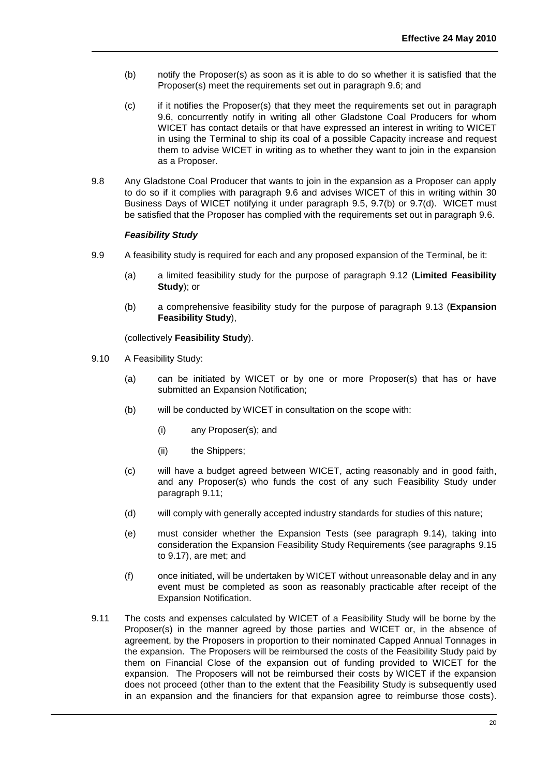- (b) notify the Proposer(s) as soon as it is able to do so whether it is satisfied that the Proposer(s) meet the requirements set out in paragraph 9.6; and
- (c) if it notifies the Proposer(s) that they meet the requirements set out in paragraph 9.6, concurrently notify in writing all other Gladstone Coal Producers for whom WICET has contact details or that have expressed an interest in writing to WICET in using the Terminal to ship its coal of a possible Capacity increase and request them to advise WICET in writing as to whether they want to join in the expansion as a Proposer.
- 9.8 Any Gladstone Coal Producer that wants to join in the expansion as a Proposer can apply to do so if it complies with paragraph 9.6 and advises WICET of this in writing within 30 Business Days of WICET notifying it under paragraph 9.5, 9.7(b) or 9.7(d). WICET must be satisfied that the Proposer has complied with the requirements set out in paragraph 9.6.

#### *Feasibility Study*

- <span id="page-21-0"></span>9.9 A feasibility study is required for each and any proposed expansion of the Terminal, be it:
	- (a) a limited feasibility study for the purpose of paragraph [9.12](#page-22-0) (**Limited Feasibility Study**); or
	- (b) a comprehensive feasibility study for the purpose of paragraph 9.13 (**Expansion Feasibility Study**),

(collectively **Feasibility Study**).

- 9.10 A Feasibility Study:
	- (a) can be initiated by WICET or by one or more Proposer(s) that has or have submitted an Expansion Notification;
	- (b) will be conducted by WICET in consultation on the scope with:
		- (i) any Proposer(s); and
		- (ii) the Shippers;
	- (c) will have a budget agreed between WICET, acting reasonably and in good faith, and any Proposer(s) who funds the cost of any such Feasibility Study under paragraph 9.11;
	- (d) will comply with generally accepted industry standards for studies of this nature;
	- (e) must consider whether the Expansion Tests (see paragraph 9.14), taking into consideration the Expansion Feasibility Study Requirements (see paragraphs 9.15 to 9.17), are met; and
	- (f) once initiated, will be undertaken by WICET without unreasonable delay and in any event must be completed as soon as reasonably practicable after receipt of the Expansion Notification.
- 9.11 The costs and expenses calculated by WICET of a Feasibility Study will be borne by the Proposer(s) in the manner agreed by those parties and WICET or, in the absence of agreement, by the Proposers in proportion to their nominated Capped Annual Tonnages in the expansion. The Proposers will be reimbursed the costs of the Feasibility Study paid by them on Financial Close of the expansion out of funding provided to WICET for the expansion. The Proposers will not be reimbursed their costs by WICET if the expansion does not proceed (other than to the extent that the Feasibility Study is subsequently used in an expansion and the financiers for that expansion agree to reimburse those costs).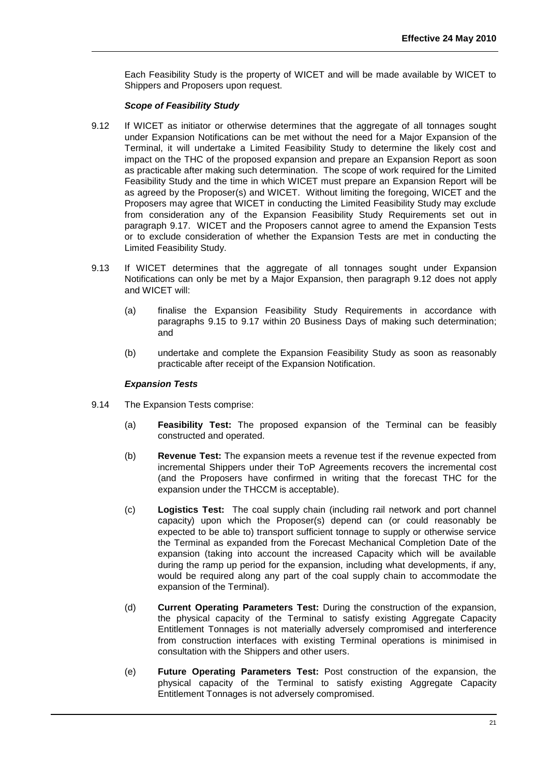Each Feasibility Study is the property of WICET and will be made available by WICET to Shippers and Proposers upon request.

#### *Scope of Feasibility Study*

- <span id="page-22-0"></span>9.12 If WICET as initiator or otherwise determines that the aggregate of all tonnages sought under Expansion Notifications can be met without the need for a Major Expansion of the Terminal, it will undertake a Limited Feasibility Study to determine the likely cost and impact on the THC of the proposed expansion and prepare an Expansion Report as soon as practicable after making such determination. The scope of work required for the Limited Feasibility Study and the time in which WICET must prepare an Expansion Report will be as agreed by the Proposer(s) and WICET. Without limiting the foregoing, WICET and the Proposers may agree that WICET in conducting the Limited Feasibility Study may exclude from consideration any of the Expansion Feasibility Study Requirements set out in paragraph 9.17. WICET and the Proposers cannot agree to amend the Expansion Tests or to exclude consideration of whether the Expansion Tests are met in conducting the Limited Feasibility Study.
- 9.13 If WICET determines that the aggregate of all tonnages sought under Expansion Notifications can only be met by a Major Expansion, then paragraph [9.12](#page-22-0) does not apply and WICET will:
	- (a) finalise the Expansion Feasibility Study Requirements in accordance with paragraphs 9.15 to 9.17 within 20 Business Days of making such determination; and
	- (b) undertake and complete the Expansion Feasibility Study as soon as reasonably practicable after receipt of the Expansion Notification.

#### *Expansion Tests*

- <span id="page-22-1"></span>9.14 The Expansion Tests comprise:
	- (a) **Feasibility Test:** The proposed expansion of the Terminal can be feasibly constructed and operated.
	- (b) **Revenue Test:** The expansion meets a revenue test if the revenue expected from incremental Shippers under their ToP Agreements recovers the incremental cost (and the Proposers have confirmed in writing that the forecast THC for the expansion under the THCCM is acceptable).
	- (c) **Logistics Test:** The coal supply chain (including rail network and port channel capacity) upon which the Proposer(s) depend can (or could reasonably be expected to be able to) transport sufficient tonnage to supply or otherwise service the Terminal as expanded from the Forecast Mechanical Completion Date of the expansion (taking into account the increased Capacity which will be available during the ramp up period for the expansion, including what developments, if any, would be required along any part of the coal supply chain to accommodate the expansion of the Terminal).
	- (d) **Current Operating Parameters Test:** During the construction of the expansion, the physical capacity of the Terminal to satisfy existing Aggregate Capacity Entitlement Tonnages is not materially adversely compromised and interference from construction interfaces with existing Terminal operations is minimised in consultation with the Shippers and other users.
	- (e) **Future Operating Parameters Test:** Post construction of the expansion, the physical capacity of the Terminal to satisfy existing Aggregate Capacity Entitlement Tonnages is not adversely compromised.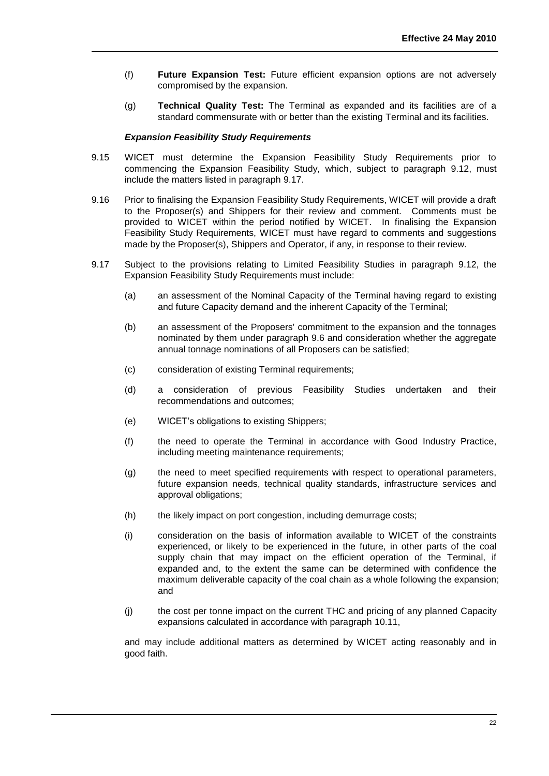- (f) **Future Expansion Test:** Future efficient expansion options are not adversely compromised by the expansion.
- (g) **Technical Quality Test:** The Terminal as expanded and its facilities are of a standard commensurate with or better than the existing Terminal and its facilities.

#### *Expansion Feasibility Study Requirements*

- 9.15 WICET must determine the Expansion Feasibility Study Requirements prior to commencing the Expansion Feasibility Study, which, subject to paragraph 9.12, must include the matters listed in paragraph 9.17.
- 9.16 Prior to finalising the Expansion Feasibility Study Requirements, WICET will provide a draft to the Proposer(s) and Shippers for their review and comment. Comments must be provided to WICET within the period notified by WICET. In finalising the Expansion Feasibility Study Requirements, WICET must have regard to comments and suggestions made by the Proposer(s), Shippers and Operator, if any, in response to their review.
- 9.17 Subject to the provisions relating to Limited Feasibility Studies in paragraph 9.12, the Expansion Feasibility Study Requirements must include:
	- (a) an assessment of the Nominal Capacity of the Terminal having regard to existing and future Capacity demand and the inherent Capacity of the Terminal;
	- (b) an assessment of the Proposers' commitment to the expansion and the tonnages nominated by them under paragraph [9.6](#page-20-0) and consideration whether the aggregate annual tonnage nominations of all Proposers can be satisfied;
	- (c) consideration of existing Terminal requirements;
	- (d) a consideration of previous Feasibility Studies undertaken and their recommendations and outcomes;
	- (e) WICET's obligations to existing Shippers;
	- (f) the need to operate the Terminal in accordance with Good Industry Practice, including meeting maintenance requirements;
	- (g) the need to meet specified requirements with respect to operational parameters, future expansion needs, technical quality standards, infrastructure services and approval obligations;
	- (h) the likely impact on port congestion, including demurrage costs;
	- (i) consideration on the basis of information available to WICET of the constraints experienced, or likely to be experienced in the future, in other parts of the coal supply chain that may impact on the efficient operation of the Terminal, if expanded and, to the extent the same can be determined with confidence the maximum deliverable capacity of the coal chain as a whole following the expansion; and
	- (j) the cost per tonne impact on the current THC and pricing of any planned Capacity expansions calculated in accordance with paragraph [10.11,](#page-28-0)

and may include additional matters as determined by WICET acting reasonably and in good faith.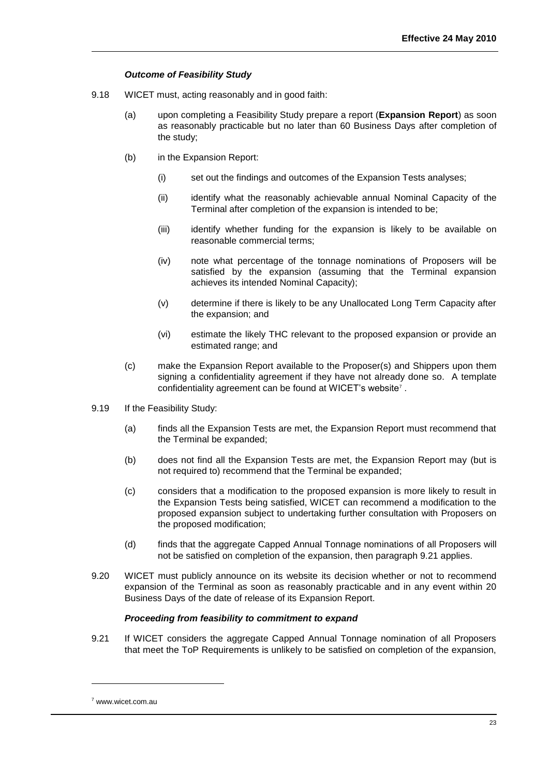## *Outcome of Feasibility Study*

- <span id="page-24-0"></span>9.18 WICET must, acting reasonably and in good faith:
	- (a) upon completing a Feasibility Study prepare a report (**Expansion Report**) as soon as reasonably practicable but no later than 60 Business Days after completion of the study;
	- (b) in the Expansion Report:
		- (i) set out the findings and outcomes of the Expansion Tests analyses;
		- (ii) identify what the reasonably achievable annual Nominal Capacity of the Terminal after completion of the expansion is intended to be;
		- (iii) identify whether funding for the expansion is likely to be available on reasonable commercial terms;
		- (iv) note what percentage of the tonnage nominations of Proposers will be satisfied by the expansion (assuming that the Terminal expansion achieves its intended Nominal Capacity);
		- (v) determine if there is likely to be any Unallocated Long Term Capacity after the expansion; and
		- (vi) estimate the likely THC relevant to the proposed expansion or provide an estimated range; and
	- (c) make the Expansion Report available to the Proposer(s) and Shippers upon them signing a confidentiality agreement if they have not already done so. A template confidentiality agreement can be found at WICET's website<sup>7</sup>.
- 9.19 If the Feasibility Study:
	- (a) finds all the Expansion Tests are met, the Expansion Report must recommend that the Terminal be expanded;
	- (b) does not find all the Expansion Tests are met, the Expansion Report may (but is not required to) recommend that the Terminal be expanded;
	- (c) considers that a modification to the proposed expansion is more likely to result in the Expansion Tests being satisfied, WICET can recommend a modification to the proposed expansion subject to undertaking further consultation with Proposers on the proposed modification;
	- (d) finds that the aggregate Capped Annual Tonnage nominations of all Proposers will not be satisfied on completion of the expansion, then paragraph 9.21 applies.
- 9.20 WICET must publicly announce on its website its decision whether or not to recommend expansion of the Terminal as soon as reasonably practicable and in any event within 20 Business Days of the date of release of its Expansion Report.

## *Proceeding from feasibility to commitment to expand*

9.21 If WICET considers the aggregate Capped Annual Tonnage nomination of all Proposers that meet the ToP Requirements is unlikely to be satisfied on completion of the expansion,

l

<sup>7</sup> www.wicet.com.au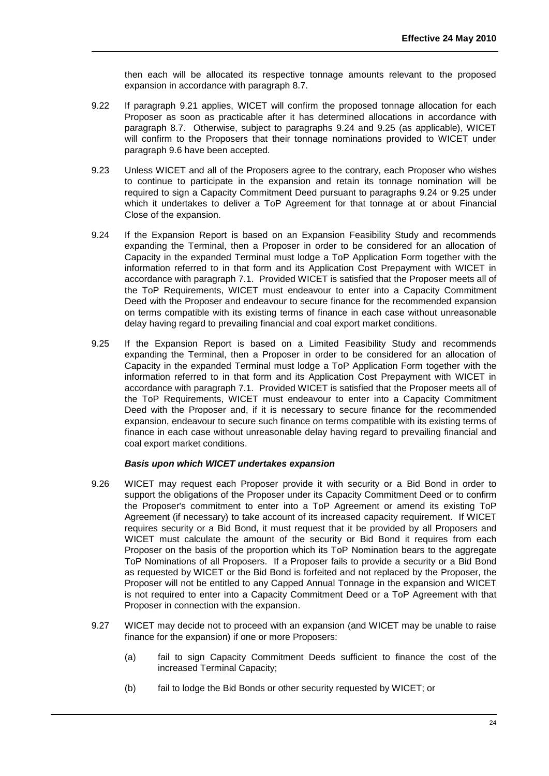then each will be allocated its respective tonnage amounts relevant to the proposed expansion in accordance with paragraph 8.7.

- 9.22 If paragraph 9.21 applies, WICET will confirm the proposed tonnage allocation for each Proposer as soon as practicable after it has determined allocations in accordance with paragraph 8.7. Otherwise, subject to paragraphs 9.24 and 9.25 (as applicable), WICET will confirm to the Proposers that their tonnage nominations provided to WICET under paragraph 9.6 have been accepted.
- 9.23 Unless WICET and all of the Proposers agree to the contrary, each Proposer who wishes to continue to participate in the expansion and retain its tonnage nomination will be required to sign a Capacity Commitment Deed pursuant to paragraphs 9.24 or 9.25 under which it undertakes to deliver a ToP Agreement for that tonnage at or about Financial Close of the expansion.
- 9.24 If the Expansion Report is based on an Expansion Feasibility Study and recommends expanding the Terminal, then a Proposer in order to be considered for an allocation of Capacity in the expanded Terminal must lodge a ToP Application Form together with the information referred to in that form and its Application Cost Prepayment with WICET in accordance with paragraph 7.1. Provided WICET is satisfied that the Proposer meets all of the ToP Requirements, WICET must endeavour to enter into a Capacity Commitment Deed with the Proposer and endeavour to secure finance for the recommended expansion on terms compatible with its existing terms of finance in each case without unreasonable delay having regard to prevailing financial and coal export market conditions.
- 9.25 If the Expansion Report is based on a Limited Feasibility Study and recommends expanding the Terminal, then a Proposer in order to be considered for an allocation of Capacity in the expanded Terminal must lodge a ToP Application Form together with the information referred to in that form and its Application Cost Prepayment with WICET in accordance with paragraph 7.1. Provided WICET is satisfied that the Proposer meets all of the ToP Requirements, WICET must endeavour to enter into a Capacity Commitment Deed with the Proposer and, if it is necessary to secure finance for the recommended expansion, endeavour to secure such finance on terms compatible with its existing terms of finance in each case without unreasonable delay having regard to prevailing financial and coal export market conditions.

## *Basis upon which WICET undertakes expansion*

- 9.26 WICET may request each Proposer provide it with security or a Bid Bond in order to support the obligations of the Proposer under its Capacity Commitment Deed or to confirm the Proposer's commitment to enter into a ToP Agreement or amend its existing ToP Agreement (if necessary) to take account of its increased capacity requirement. If WICET requires security or a Bid Bond, it must request that it be provided by all Proposers and WICET must calculate the amount of the security or Bid Bond it requires from each Proposer on the basis of the proportion which its ToP Nomination bears to the aggregate ToP Nominations of all Proposers. If a Proposer fails to provide a security or a Bid Bond as requested by WICET or the Bid Bond is forfeited and not replaced by the Proposer, the Proposer will not be entitled to any Capped Annual Tonnage in the expansion and WICET is not required to enter into a Capacity Commitment Deed or a ToP Agreement with that Proposer in connection with the expansion.
- 9.27 WICET may decide not to proceed with an expansion (and WICET may be unable to raise finance for the expansion) if one or more Proposers:
	- (a) fail to sign Capacity Commitment Deeds sufficient to finance the cost of the increased Terminal Capacity;
	- (b) fail to lodge the Bid Bonds or other security requested by WICET; or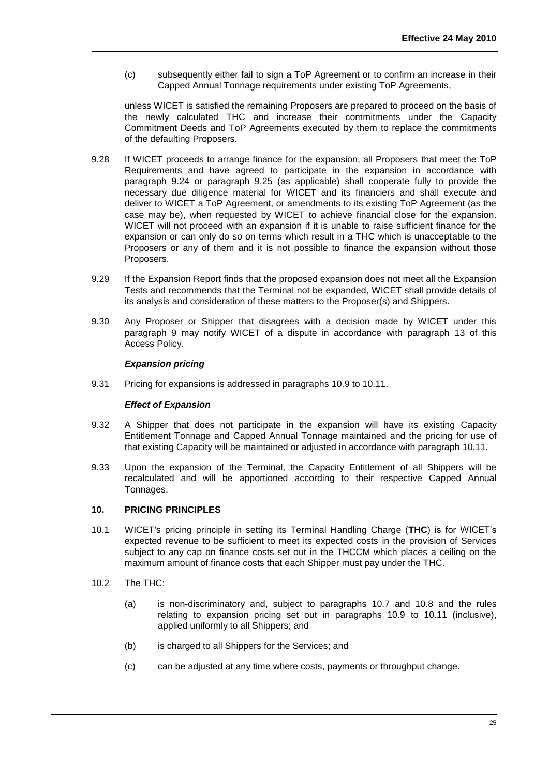(c) subsequently either fail to sign a ToP Agreement or to confirm an increase in their Capped Annual Tonnage requirements under existing ToP Agreements,

unless WICET is satisfied the remaining Proposers are prepared to proceed on the basis of the newly calculated THC and increase their commitments under the Capacity Commitment Deeds and ToP Agreements executed by them to replace the commitments of the defaulting Proposers.

- 9.28 If WICET proceeds to arrange finance for the expansion, all Proposers that meet the ToP Requirements and have agreed to participate in the expansion in accordance with paragraph 9.24 or paragraph 9.25 (as applicable) shall cooperate fully to provide the necessary due diligence material for WICET and its financiers and shall execute and deliver to WICET a ToP Agreement, or amendments to its existing ToP Agreement (as the case may be), when requested by WICET to achieve financial close for the expansion. WICET will not proceed with an expansion if it is unable to raise sufficient finance for the expansion or can only do so on terms which result in a THC which is unacceptable to the Proposers or any of them and it is not possible to finance the expansion without those Proposers.
- 9.29 If the Expansion Report finds that the proposed expansion does not meet all the Expansion Tests and recommends that the Terminal not be expanded, WICET shall provide details of its analysis and consideration of these matters to the Proposer(s) and Shippers.
- 9.30 Any Proposer or Shipper that disagrees with a decision made by WICET under this paragraph 9 may notify WICET of a dispute in accordance with paragraph [13](#page-31-0) of this Access Policy.

## *Expansion pricing*

9.31 Pricing for expansions is addressed in paragraphs [10.9](#page-28-1) to [10.11.](#page-28-0)

#### *Effect of Expansion*

- 9.32 A Shipper that does not participate in the expansion will have its existing Capacity Entitlement Tonnage and Capped Annual Tonnage maintained and the pricing for use of that existing Capacity will be maintained or adjusted in accordance with paragraph [10.11.](#page-28-0)
- 9.33 Upon the expansion of the Terminal, the Capacity Entitlement of all Shippers will be recalculated and will be apportioned according to their respective Capped Annual Tonnages.

## <span id="page-26-0"></span>**10. PRICING PRINCIPLES**

- 10.1 WICET's pricing principle in setting its Terminal Handling Charge (**THC**) is for WICET's expected revenue to be sufficient to meet its expected costs in the provision of Services subject to any cap on finance costs set out in the THCCM which places a ceiling on the maximum amount of finance costs that each Shipper must pay under the THC.
- 10.2 The THC:
	- (a) is non-discriminatory and, subject to paragraphs [10.7](#page-28-2) and 10.8 and the rules relating to expansion pricing set out in paragraphs 10.9 to 10.11 (inclusive), applied uniformly to all Shippers; and
	- (b) is charged to all Shippers for the Services; and
	- (c) can be adjusted at any time where costs, payments or throughput change.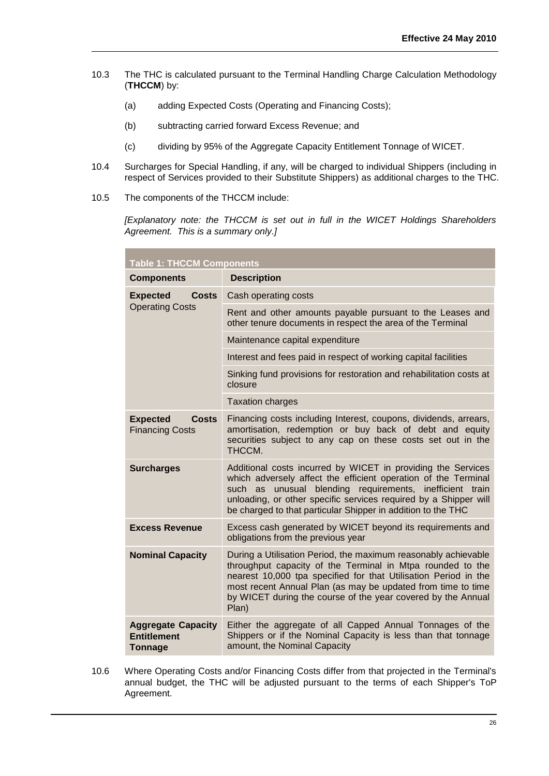- 10.3 The THC is calculated pursuant to the Terminal Handling Charge Calculation Methodology (**THCCM**) by:
	- (a) adding Expected Costs (Operating and Financing Costs);
	- (b) subtracting carried forward Excess Revenue; and
	- (c) dividing by 95% of the Aggregate Capacity Entitlement Tonnage of WICET.
- 10.4 Surcharges for Special Handling, if any, will be charged to individual Shippers (including in respect of Services provided to their Substitute Shippers) as additional charges to the THC.
- 10.5 The components of the THCCM include:

*[Explanatory note: the THCCM is set out in full in the WICET Holdings Shareholders Agreement. This is a summary only.]*

| <b>Table 1: THCCM Components</b>                           |                                                                                                                                                                                                                                                                                                                                          |  |  |
|------------------------------------------------------------|------------------------------------------------------------------------------------------------------------------------------------------------------------------------------------------------------------------------------------------------------------------------------------------------------------------------------------------|--|--|
| <b>Components</b>                                          | <b>Description</b>                                                                                                                                                                                                                                                                                                                       |  |  |
| <b>Costs</b><br><b>Expected</b>                            | Cash operating costs                                                                                                                                                                                                                                                                                                                     |  |  |
| <b>Operating Costs</b>                                     | Rent and other amounts payable pursuant to the Leases and<br>other tenure documents in respect the area of the Terminal                                                                                                                                                                                                                  |  |  |
|                                                            | Maintenance capital expenditure                                                                                                                                                                                                                                                                                                          |  |  |
|                                                            | Interest and fees paid in respect of working capital facilities                                                                                                                                                                                                                                                                          |  |  |
|                                                            | Sinking fund provisions for restoration and rehabilitation costs at<br>closure                                                                                                                                                                                                                                                           |  |  |
|                                                            | <b>Taxation charges</b>                                                                                                                                                                                                                                                                                                                  |  |  |
| <b>Expected</b><br><b>Costs</b><br><b>Financing Costs</b>  | Financing costs including Interest, coupons, dividends, arrears,<br>amortisation, redemption or buy back of debt and equity<br>securities subject to any cap on these costs set out in the<br>THCCM.                                                                                                                                     |  |  |
| <b>Surcharges</b>                                          | Additional costs incurred by WICET in providing the Services<br>which adversely affect the efficient operation of the Terminal<br>unusual blending requirements, inefficient train<br>such as<br>unloading, or other specific services required by a Shipper will<br>be charged to that particular Shipper in addition to the THC        |  |  |
| <b>Excess Revenue</b>                                      | Excess cash generated by WICET beyond its requirements and<br>obligations from the previous year                                                                                                                                                                                                                                         |  |  |
| <b>Nominal Capacity</b>                                    | During a Utilisation Period, the maximum reasonably achievable<br>throughput capacity of the Terminal in Mtpa rounded to the<br>nearest 10,000 tpa specified for that Utilisation Period in the<br>most recent Annual Plan (as may be updated from time to time<br>by WICET during the course of the year covered by the Annual<br>Plan) |  |  |
| <b>Aggregate Capacity</b><br><b>Entitlement</b><br>Tonnage | Either the aggregate of all Capped Annual Tonnages of the<br>Shippers or if the Nominal Capacity is less than that tonnage<br>amount, the Nominal Capacity                                                                                                                                                                               |  |  |

10.6 Where Operating Costs and/or Financing Costs differ from that projected in the Terminal's annual budget, the THC will be adjusted pursuant to the terms of each Shipper's ToP Agreement.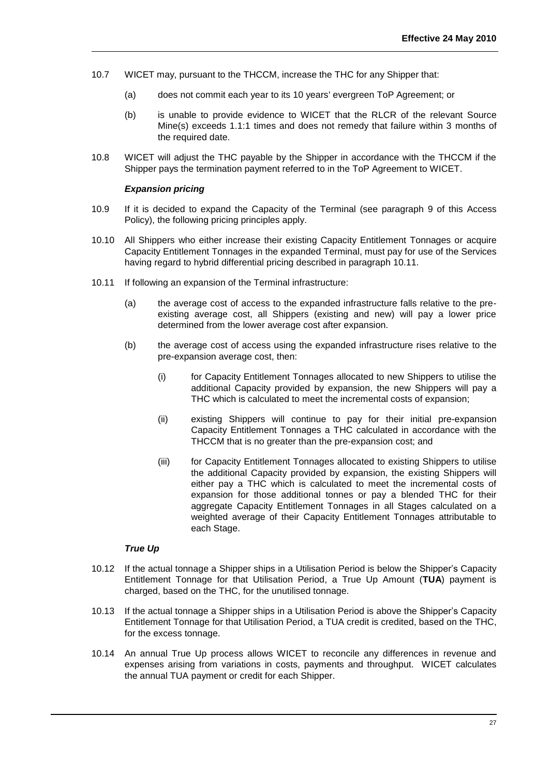- <span id="page-28-2"></span>10.7 WICET may, pursuant to the THCCM, increase the THC for any Shipper that:
	- (a) does not commit each year to its 10 years' evergreen ToP Agreement; or
	- (b) is unable to provide evidence to WICET that the RLCR of the relevant Source Mine(s) exceeds 1.1:1 times and does not remedy that failure within 3 months of the required date.
- 10.8 WICET will adjust the THC payable by the Shipper in accordance with the THCCM if the Shipper pays the termination payment referred to in the ToP Agreement to WICET.

#### *Expansion pricing*

- <span id="page-28-1"></span>10.9 If it is decided to expand the Capacity of the Terminal (see paragraph [9](#page-19-0) of this Access Policy), the following pricing principles apply.
- 10.10 All Shippers who either increase their existing Capacity Entitlement Tonnages or acquire Capacity Entitlement Tonnages in the expanded Terminal, must pay for use of the Services having regard to hybrid differential pricing described in paragraph [10.11.](#page-28-0)
- <span id="page-28-0"></span>10.11 If following an expansion of the Terminal infrastructure:
	- (a) the average cost of access to the expanded infrastructure falls relative to the preexisting average cost, all Shippers (existing and new) will pay a lower price determined from the lower average cost after expansion.
	- (b) the average cost of access using the expanded infrastructure rises relative to the pre-expansion average cost, then:
		- (i) for Capacity Entitlement Tonnages allocated to new Shippers to utilise the additional Capacity provided by expansion, the new Shippers will pay a THC which is calculated to meet the incremental costs of expansion;
		- (ii) existing Shippers will continue to pay for their initial pre-expansion Capacity Entitlement Tonnages a THC calculated in accordance with the THCCM that is no greater than the pre-expansion cost; and
		- (iii) for Capacity Entitlement Tonnages allocated to existing Shippers to utilise the additional Capacity provided by expansion, the existing Shippers will either pay a THC which is calculated to meet the incremental costs of expansion for those additional tonnes or pay a blended THC for their aggregate Capacity Entitlement Tonnages in all Stages calculated on a weighted average of their Capacity Entitlement Tonnages attributable to each Stage.

## *True Up*

- 10.12 If the actual tonnage a Shipper ships in a Utilisation Period is below the Shipper's Capacity Entitlement Tonnage for that Utilisation Period, a True Up Amount (**TUA**) payment is charged, based on the THC, for the unutilised tonnage.
- 10.13 If the actual tonnage a Shipper ships in a Utilisation Period is above the Shipper's Capacity Entitlement Tonnage for that Utilisation Period, a TUA credit is credited, based on the THC, for the excess tonnage.
- 10.14 An annual True Up process allows WICET to reconcile any differences in revenue and expenses arising from variations in costs, payments and throughput. WICET calculates the annual TUA payment or credit for each Shipper.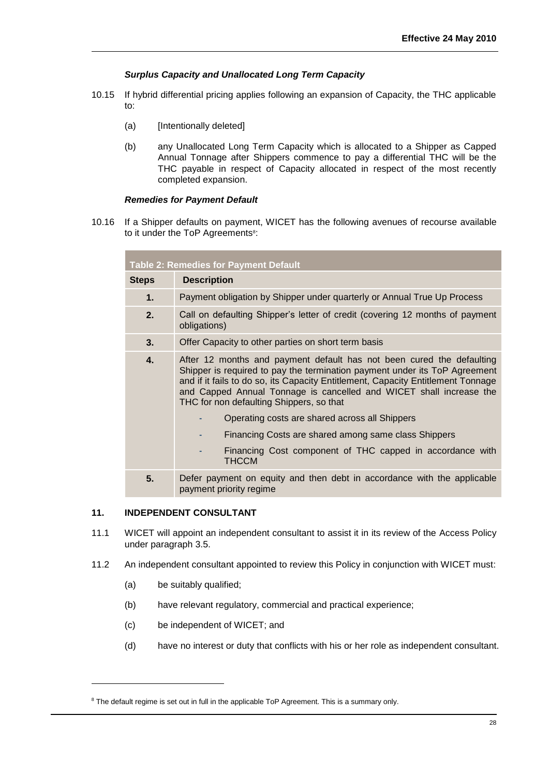## *Surplus Capacity and Unallocated Long Term Capacity*

- 10.15 If hybrid differential pricing applies following an expansion of Capacity, the THC applicable to:
	- (a) [Intentionally deleted]
	- (b) any Unallocated Long Term Capacity which is allocated to a Shipper as Capped Annual Tonnage after Shippers commence to pay a differential THC will be the THC payable in respect of Capacity allocated in respect of the most recently completed expansion.

#### *Remedies for Payment Default*

10.16 If a Shipper defaults on payment, WICET has the following avenues of recourse available to it under the ToP Agreements<sup>8</sup>:

| <b>Table 2: Remedies for Payment Default</b> |                                                                                                                                                                                                                                                                                                                                                                                                              |  |  |  |
|----------------------------------------------|--------------------------------------------------------------------------------------------------------------------------------------------------------------------------------------------------------------------------------------------------------------------------------------------------------------------------------------------------------------------------------------------------------------|--|--|--|
| <b>Steps</b>                                 | <b>Description</b>                                                                                                                                                                                                                                                                                                                                                                                           |  |  |  |
| $\mathbf 1$ .                                | Payment obligation by Shipper under quarterly or Annual True Up Process                                                                                                                                                                                                                                                                                                                                      |  |  |  |
| 2.                                           | Call on defaulting Shipper's letter of credit (covering 12 months of payment<br>obligations)                                                                                                                                                                                                                                                                                                                 |  |  |  |
| 3.                                           | Offer Capacity to other parties on short term basis                                                                                                                                                                                                                                                                                                                                                          |  |  |  |
| 4.                                           | After 12 months and payment default has not been cured the defaulting<br>Shipper is required to pay the termination payment under its ToP Agreement<br>and if it fails to do so, its Capacity Entitlement, Capacity Entitlement Tonnage<br>and Capped Annual Tonnage is cancelled and WICET shall increase the<br>THC for non defaulting Shippers, so that<br>Operating costs are shared across all Shippers |  |  |  |
|                                              | Financing Costs are shared among same class Shippers                                                                                                                                                                                                                                                                                                                                                         |  |  |  |
|                                              | Financing Cost component of THC capped in accordance with<br><b>THCCM</b>                                                                                                                                                                                                                                                                                                                                    |  |  |  |
| 5.                                           | Defer payment on equity and then debt in accordance with the applicable<br>payment priority regime                                                                                                                                                                                                                                                                                                           |  |  |  |

## <span id="page-29-0"></span>**11. INDEPENDENT CONSULTANT**

- 11.1 WICET will appoint an independent consultant to assist it in its review of the Access Policy under paragraph [3.5.](#page-4-0)
- 11.2 An independent consultant appointed to review this Policy in conjunction with WICET must:
	- (a) be suitably qualified;

l

- (b) have relevant regulatory, commercial and practical experience;
- (c) be independent of WICET; and
- (d) have no interest or duty that conflicts with his or her role as independent consultant.

<sup>&</sup>lt;sup>8</sup> The default regime is set out in full in the applicable ToP Agreement. This is a summary only.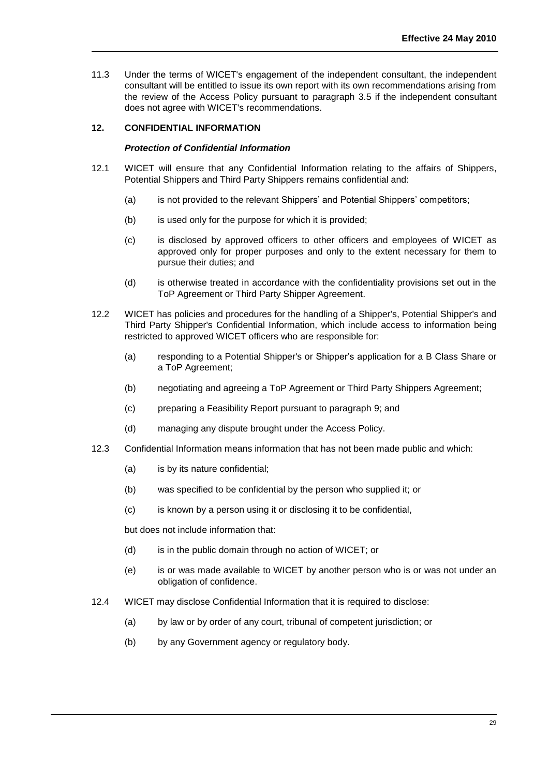11.3 Under the terms of WICET's engagement of the independent consultant, the independent consultant will be entitled to issue its own report with its own recommendations arising from the review of the Access Policy pursuant to paragraph [3.](#page-3-0)5 if the independent consultant does not agree with WICET's recommendations.

## <span id="page-30-0"></span>**12. CONFIDENTIAL INFORMATION**

#### *Protection of Confidential Information*

- 12.1 WICET will ensure that any Confidential Information relating to the affairs of Shippers, Potential Shippers and Third Party Shippers remains confidential and:
	- (a) is not provided to the relevant Shippers' and Potential Shippers' competitors;
	- (b) is used only for the purpose for which it is provided;
	- (c) is disclosed by approved officers to other officers and employees of WICET as approved only for proper purposes and only to the extent necessary for them to pursue their duties; and
	- (d) is otherwise treated in accordance with the confidentiality provisions set out in the ToP Agreement or Third Party Shipper Agreement.
- 12.2 WICET has policies and procedures for the handling of a Shipper's, Potential Shipper's and Third Party Shipper's Confidential Information, which include access to information being restricted to approved WICET officers who are responsible for:
	- (a) responding to a Potential Shipper's or Shipper's application for a B Class Share or a ToP Agreement;
	- (b) negotiating and agreeing a ToP Agreement or Third Party Shippers Agreement;
	- (c) preparing a Feasibility Report pursuant to paragraph [9;](#page-19-0) and
	- (d) managing any dispute brought under the Access Policy.
- 12.3 Confidential Information means information that has not been made public and which:
	- (a) is by its nature confidential;
	- (b) was specified to be confidential by the person who supplied it; or
	- (c) is known by a person using it or disclosing it to be confidential,

but does not include information that:

- (d) is in the public domain through no action of WICET; or
- (e) is or was made available to WICET by another person who is or was not under an obligation of confidence.
- 12.4 WICET may disclose Confidential Information that it is required to disclose:
	- (a) by law or by order of any court, tribunal of competent jurisdiction; or
	- (b) by any Government agency or regulatory body.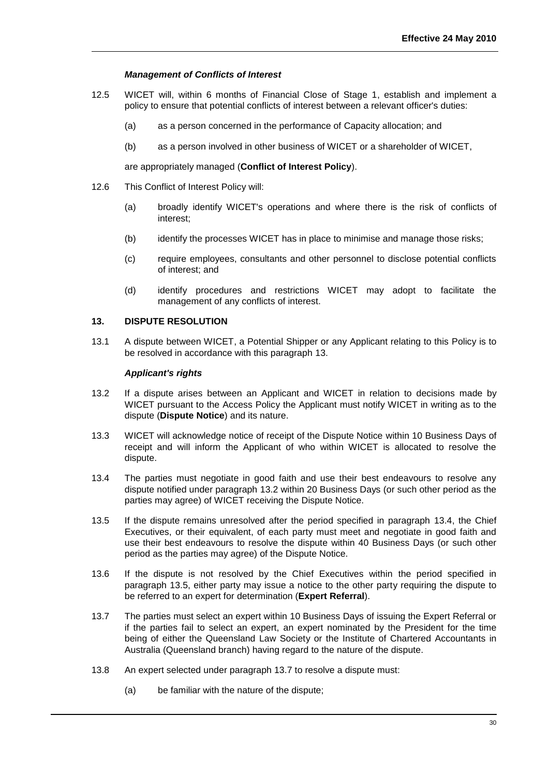## *Management of Conflicts of Interest*

- 12.5 WICET will, within 6 months of Financial Close of Stage 1, establish and implement a policy to ensure that potential conflicts of interest between a relevant officer's duties:
	- (a) as a person concerned in the performance of Capacity allocation; and
	- (b) as a person involved in other business of WICET or a shareholder of WICET,

are appropriately managed (**Conflict of Interest Policy**).

- 12.6 This Conflict of Interest Policy will:
	- (a) broadly identify WICET's operations and where there is the risk of conflicts of interest;
	- (b) identify the processes WICET has in place to minimise and manage those risks;
	- (c) require employees, consultants and other personnel to disclose potential conflicts of interest; and
	- (d) identify procedures and restrictions WICET may adopt to facilitate the management of any conflicts of interest.

## <span id="page-31-0"></span>**13. DISPUTE RESOLUTION**

13.1 A dispute between WICET, a Potential Shipper or any Applicant relating to this Policy is to be resolved in accordance with this paragraph [13.](#page-31-0)

#### *Applicant's rights*

- <span id="page-31-1"></span>13.2 If a dispute arises between an Applicant and WICET in relation to decisions made by WICET pursuant to the Access Policy the Applicant must notify WICET in writing as to the dispute (**Dispute Notice**) and its nature.
- 13.3 WICET will acknowledge notice of receipt of the Dispute Notice within 10 Business Days of receipt and will inform the Applicant of who within WICET is allocated to resolve the dispute.
- <span id="page-31-2"></span>13.4 The parties must negotiate in good faith and use their best endeavours to resolve any dispute notified under paragraph [13.2](#page-31-1) within 20 Business Days (or such other period as the parties may agree) of WICET receiving the Dispute Notice.
- <span id="page-31-3"></span>13.5 If the dispute remains unresolved after the period specified in paragraph [13.4,](#page-31-2) the Chief Executives, or their equivalent, of each party must meet and negotiate in good faith and use their best endeavours to resolve the dispute within 40 Business Days (or such other period as the parties may agree) of the Dispute Notice.
- 13.6 If the dispute is not resolved by the Chief Executives within the period specified in paragraph [13.5,](#page-31-3) either party may issue a notice to the other party requiring the dispute to be referred to an expert for determination (**Expert Referral**).
- 13.7 The parties must select an expert within 10 Business Days of issuing the Expert Referral or if the parties fail to select an expert, an expert nominated by the President for the time being of either the Queensland Law Society or the Institute of Chartered Accountants in Australia (Queensland branch) having regard to the nature of the dispute.
- 13.8 An expert selected under paragraph 13.7 to resolve a dispute must:
	- (a) be familiar with the nature of the dispute;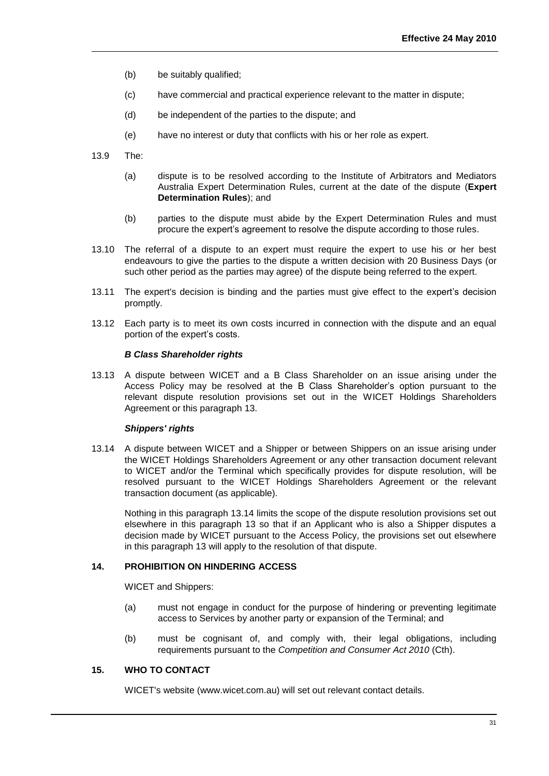- (b) be suitably qualified;
- (c) have commercial and practical experience relevant to the matter in dispute;
- (d) be independent of the parties to the dispute; and
- (e) have no interest or duty that conflicts with his or her role as expert.
- <span id="page-32-2"></span>13.9 The:
	- (a) dispute is to be resolved according to the Institute of Arbitrators and Mediators Australia Expert Determination Rules, current at the date of the dispute (**Expert Determination Rules**); and
	- (b) parties to the dispute must abide by the Expert Determination Rules and must procure the expert's agreement to resolve the dispute according to those rules.
- 13.10 The referral of a dispute to an expert must require the expert to use his or her best endeavours to give the parties to the dispute a written decision with 20 Business Days (or such other period as the parties may agree) of the dispute being referred to the expert.
- 13.11 The expert's decision is binding and the parties must give effect to the expert's decision promptly.
- 13.12 Each party is to meet its own costs incurred in connection with the dispute and an equal portion of the expert's costs.

#### *B Class Shareholder rights*

13.13 A dispute between WICET and a B Class Shareholder on an issue arising under the Access Policy may be resolved at the B Class Shareholder's option pursuant to the relevant dispute resolution provisions set out in the WICET Holdings Shareholders Agreement or this paragraph [13.](#page-31-0)

#### *Shippers' rights*

13.14 A dispute between WICET and a Shipper or between Shippers on an issue arising under the WICET Holdings Shareholders Agreement or any other transaction document relevant to WICET and/or the Terminal which specifically provides for dispute resolution, will be resolved pursuant to the WICET Holdings Shareholders Agreement or the relevant transaction document (as applicable).

Nothing in this paragraph 13.14 limits the scope of the dispute resolution provisions set out elsewhere in this paragraph 13 so that if an Applicant who is also a Shipper disputes a decision made by WICET pursuant to the Access Policy, the provisions set out elsewhere in this paragraph 13 will apply to the resolution of that dispute.

#### <span id="page-32-0"></span>**14. PROHIBITION ON HINDERING ACCESS**

WICET and Shippers:

- (a) must not engage in conduct for the purpose of hindering or preventing legitimate access to Services by another party or expansion of the Terminal; and
- (b) must be cognisant of, and comply with, their legal obligations, including requirements pursuant to the *Competition and Consumer Act 2010* (Cth).

## <span id="page-32-1"></span>**15. WHO TO CONTACT**

WICET's website (www.wicet.com.au) will set out relevant contact details.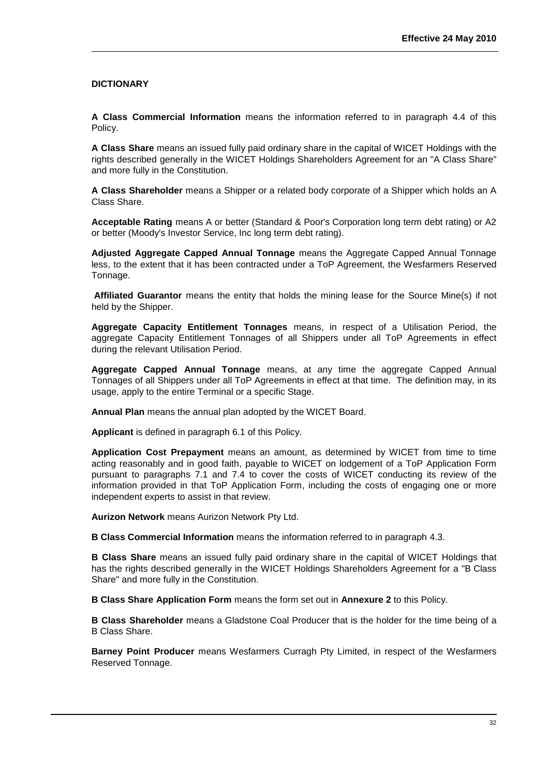## <span id="page-33-0"></span>**DICTIONARY**

**A Class Commercial Information** means the information referred to in paragraph 4.4 of this Policy.

**A Class Share** means an issued fully paid ordinary share in the capital of WICET Holdings with the rights described generally in the WICET Holdings Shareholders Agreement for an "A Class Share" and more fully in the Constitution.

**A Class Shareholder** means a Shipper or a related body corporate of a Shipper which holds an A Class Share.

**Acceptable Rating** means A or better (Standard & Poor's Corporation long term debt rating) or A2 or better (Moody's Investor Service, Inc long term debt rating).

**Adjusted Aggregate Capped Annual Tonnage** means the Aggregate Capped Annual Tonnage less, to the extent that it has been contracted under a ToP Agreement, the Wesfarmers Reserved Tonnage.

**Affiliated Guarantor** means the entity that holds the mining lease for the Source Mine(s) if not held by the Shipper.

**Aggregate Capacity Entitlement Tonnages** means, in respect of a Utilisation Period, the aggregate Capacity Entitlement Tonnages of all Shippers under all ToP Agreements in effect during the relevant Utilisation Period.

**Aggregate Capped Annual Tonnage** means, at any time the aggregate Capped Annual Tonnages of all Shippers under all ToP Agreements in effect at that time. The definition may, in its usage, apply to the entire Terminal or a specific Stage.

**Annual Plan** means the annual plan adopted by the WICET Board.

**Applicant** is defined in paragraph [6.1](#page-8-1) of this Policy.

**Application Cost Prepayment** means an amount, as determined by WICET from time to time acting reasonably and in good faith, payable to WICET on lodgement of a ToP Application Form pursuant to paragraphs 7.1 and [7.4](#page-12-0) to cover the costs of WICET conducting its review of the information provided in that ToP Application Form, including the costs of engaging one or more independent experts to assist in that review.

**Aurizon Network** means Aurizon Network Pty Ltd.

**B Class Commercial Information** means the information referred to in paragraph 4.3.

**B Class Share** means an issued fully paid ordinary share in the capital of WICET Holdings that has the rights described generally in the WICET Holdings Shareholders Agreement for a "B Class Share" and more fully in the Constitution.

**B Class Share Application Form** means the form set out in **Annexure 2** to this Policy.

**B Class Shareholder** means a Gladstone Coal Producer that is the holder for the time being of a B Class Share.

**Barney Point Producer** means Wesfarmers Curragh Pty Limited, in respect of the Wesfarmers Reserved Tonnage.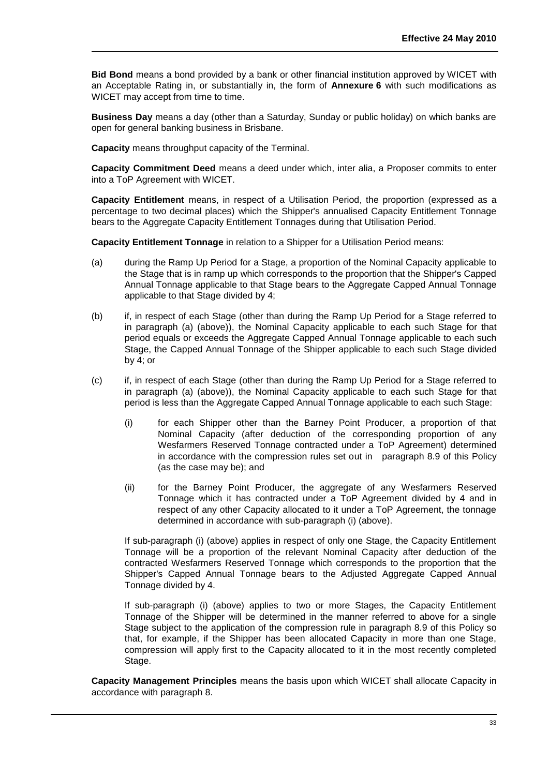**Bid Bond** means a bond provided by a bank or other financial institution approved by WICET with an Acceptable Rating in, or substantially in, the form of **Annexure 6** with such modifications as WICET may accept from time to time.

**Business Day** means a day (other than a Saturday, Sunday or public holiday) on which banks are open for general banking business in Brisbane.

**Capacity** means throughput capacity of the Terminal.

**Capacity Commitment Deed** means a deed under which, inter alia, a Proposer commits to enter into a ToP Agreement with WICET.

**Capacity Entitlement** means, in respect of a Utilisation Period, the proportion (expressed as a percentage to two decimal places) which the Shipper's annualised Capacity Entitlement Tonnage bears to the Aggregate Capacity Entitlement Tonnages during that Utilisation Period.

**Capacity Entitlement Tonnage** in relation to a Shipper for a Utilisation Period means:

- (a) during the Ramp Up Period for a Stage, a proportion of the Nominal Capacity applicable to the Stage that is in ramp up which corresponds to the proportion that the Shipper's Capped Annual Tonnage applicable to that Stage bears to the Aggregate Capped Annual Tonnage applicable to that Stage divided by 4;
- (b) if, in respect of each Stage (other than during the Ramp Up Period for a Stage referred to in paragraph (a) (above)), the Nominal Capacity applicable to each such Stage for that period equals or exceeds the Aggregate Capped Annual Tonnage applicable to each such Stage, the Capped Annual Tonnage of the Shipper applicable to each such Stage divided by 4; or
- (c) if, in respect of each Stage (other than during the Ramp Up Period for a Stage referred to in paragraph (a) (above)), the Nominal Capacity applicable to each such Stage for that period is less than the Aggregate Capped Annual Tonnage applicable to each such Stage:
	- (i) for each Shipper other than the Barney Point Producer, a proportion of that Nominal Capacity (after deduction of the corresponding proportion of any Wesfarmers Reserved Tonnage contracted under a ToP Agreement) determined in accordance with the compression rules set out in paragraph 8.9 of this Policy (as the case may be); and
	- (ii) for the Barney Point Producer, the aggregate of any Wesfarmers Reserved Tonnage which it has contracted under a ToP Agreement divided by 4 and in respect of any other Capacity allocated to it under a ToP Agreement, the tonnage determined in accordance with sub-paragraph (i) (above).

If sub-paragraph (i) (above) applies in respect of only one Stage, the Capacity Entitlement Tonnage will be a proportion of the relevant Nominal Capacity after deduction of the contracted Wesfarmers Reserved Tonnage which corresponds to the proportion that the Shipper's Capped Annual Tonnage bears to the Adjusted Aggregate Capped Annual Tonnage divided by 4.

If sub-paragraph (i) (above) applies to two or more Stages, the Capacity Entitlement Tonnage of the Shipper will be determined in the manner referred to above for a single Stage subject to the application of the compression rule in paragraph 8.9 of this Policy so that, for example, if the Shipper has been allocated Capacity in more than one Stage, compression will apply first to the Capacity allocated to it in the most recently completed Stage.

**Capacity Management Principles** means the basis upon which WICET shall allocate Capacity in accordance with paragraph [8.](#page-13-0)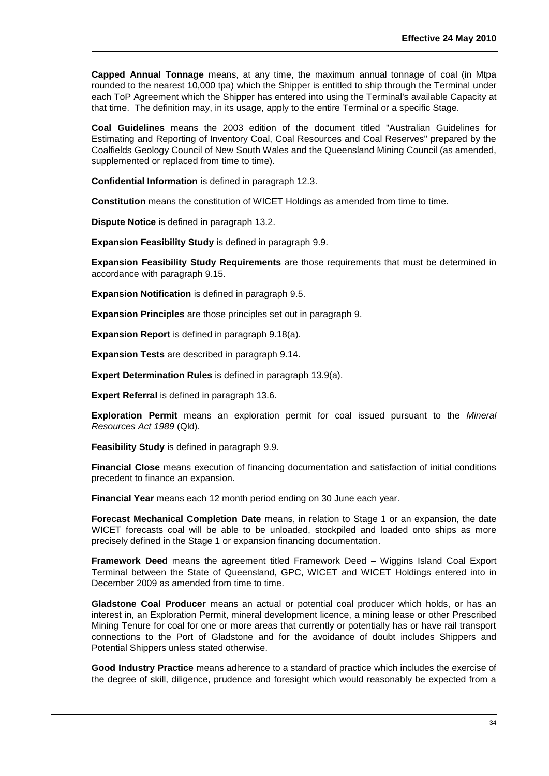**Capped Annual Tonnage** means, at any time, the maximum annual tonnage of coal (in Mtpa rounded to the nearest 10,000 tpa) which the Shipper is entitled to ship through the Terminal under each ToP Agreement which the Shipper has entered into using the Terminal's available Capacity at that time. The definition may, in its usage, apply to the entire Terminal or a specific Stage.

**Coal Guidelines** means the 2003 edition of the document titled "Australian Guidelines for Estimating and Reporting of Inventory Coal, Coal Resources and Coal Reserves" prepared by the Coalfields Geology Council of New South Wales and the Queensland Mining Council (as amended, supplemented or replaced from time to time).

**Confidential Information** is defined in paragraph 12.3.

**Constitution** means the constitution of WICET Holdings as amended from time to time.

**Dispute Notice** is defined in paragraph [13.2.](#page-31-1)

**Expansion Feasibility Study** is defined in paragraph 9.9.

**Expansion Feasibility Study Requirements** are those requirements that must be determined in accordance with paragraph 9.15.

**Expansion Notification** is defined in paragraph 9.5.

**Expansion Principles** are those principles set out in paragraph [9.](#page-19-0)

**Expansion Report** is defined in paragraph [9.18\(](#page-24-0)a).

**Expansion Tests** are described in paragraph [9.14.](#page-22-1)

**Expert Determination Rules** is defined in paragraph [13.9\(a\).](#page-32-2)

**Expert Referral** is defined in paragraph 13.6.

**Exploration Permit** means an exploration permit for coal issued pursuant to the *Mineral Resources Act 1989* (Qld).

**Feasibility Study** is defined in paragraph [9.9.](#page-21-0)

**Financial Close** means execution of financing documentation and satisfaction of initial conditions precedent to finance an expansion.

**Financial Year** means each 12 month period ending on 30 June each year.

**Forecast Mechanical Completion Date** means, in relation to Stage 1 or an expansion, the date WICET forecasts coal will be able to be unloaded, stockpiled and loaded onto ships as more precisely defined in the Stage 1 or expansion financing documentation.

**Framework Deed** means the agreement titled Framework Deed – Wiggins Island Coal Export Terminal between the State of Queensland, GPC, WICET and WICET Holdings entered into in December 2009 as amended from time to time.

**Gladstone Coal Producer** means an actual or potential coal producer which holds, or has an interest in, an Exploration Permit, mineral development licence, a mining lease or other Prescribed Mining Tenure for coal for one or more areas that currently or potentially has or have rail transport connections to the Port of Gladstone and for the avoidance of doubt includes Shippers and Potential Shippers unless stated otherwise.

**Good Industry Practice** means adherence to a standard of practice which includes the exercise of the degree of skill, diligence, prudence and foresight which would reasonably be expected from a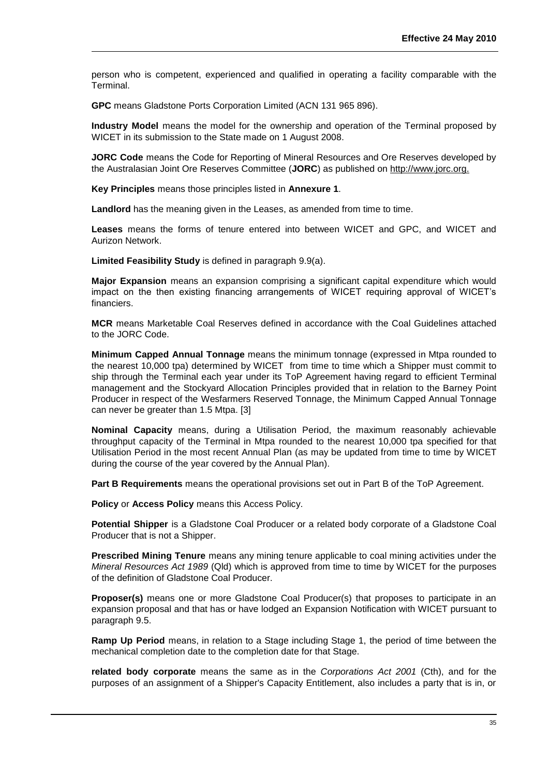person who is competent, experienced and qualified in operating a facility comparable with the Terminal.

**GPC** means Gladstone Ports Corporation Limited (ACN 131 965 896).

**Industry Model** means the model for the ownership and operation of the Terminal proposed by WICET in its submission to the State made on 1 August 2008.

**JORC Code** means the Code for Reporting of Mineral Resources and Ore Reserves developed by the Australasian Joint Ore Reserves Committee (**JORC**) as published on http://www.jorc.org.

**Key Principles** means those principles listed in **Annexure 1**.

**Landlord** has the meaning given in the Leases, as amended from time to time.

**Leases** means the forms of tenure entered into between WICET and GPC, and WICET and Aurizon Network.

**Limited Feasibility Study** is defined in paragraph 9.9(a).

**Major Expansion** means an expansion comprising a significant capital expenditure which would impact on the then existing financing arrangements of WICET requiring approval of WICET's financiers.

**MCR** means Marketable Coal Reserves defined in accordance with the Coal Guidelines attached to the JORC Code.

**Minimum Capped Annual Tonnage** means the minimum tonnage (expressed in Mtpa rounded to the nearest 10,000 tpa) determined by WICET from time to time which a Shipper must commit to ship through the Terminal each year under its ToP Agreement having regard to efficient Terminal management and the Stockyard Allocation Principles provided that in relation to the Barney Point Producer in respect of the Wesfarmers Reserved Tonnage, the Minimum Capped Annual Tonnage can never be greater than 1.5 Mtpa. [3]

**Nominal Capacity** means, during a Utilisation Period, the maximum reasonably achievable throughput capacity of the Terminal in Mtpa rounded to the nearest 10,000 tpa specified for that Utilisation Period in the most recent Annual Plan (as may be updated from time to time by WICET during the course of the year covered by the Annual Plan).

**Part B Requirements** means the operational provisions set out in Part B of the ToP Agreement.

**Policy** or **Access Policy** means this Access Policy.

**Potential Shipper** is a Gladstone Coal Producer or a related body corporate of a Gladstone Coal Producer that is not a Shipper.

**Prescribed Mining Tenure** means any mining tenure applicable to coal mining activities under the *Mineral Resources Act 1989* (Qld) which is approved from time to time by WICET for the purposes of the definition of Gladstone Coal Producer.

**Proposer(s)** means one or more Gladstone Coal Producer(s) that proposes to participate in an expansion proposal and that has or have lodged an Expansion Notification with WICET pursuant to paragraph 9.5.

**Ramp Up Period** means, in relation to a Stage including Stage 1, the period of time between the mechanical completion date to the completion date for that Stage.

**related body corporate** means the same as in the *Corporations Act 2001* (Cth), and for the purposes of an assignment of a Shipper's Capacity Entitlement, also includes a party that is in, or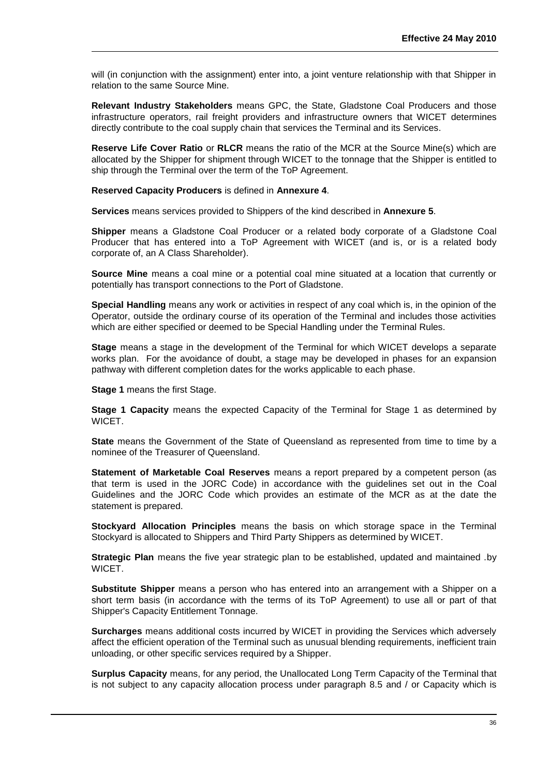will (in conjunction with the assignment) enter into, a joint venture relationship with that Shipper in relation to the same Source Mine.

**Relevant Industry Stakeholders** means GPC, the State, Gladstone Coal Producers and those infrastructure operators, rail freight providers and infrastructure owners that WICET determines directly contribute to the coal supply chain that services the Terminal and its Services.

**Reserve Life Cover Ratio** or **RLCR** means the ratio of the MCR at the Source Mine(s) which are allocated by the Shipper for shipment through WICET to the tonnage that the Shipper is entitled to ship through the Terminal over the term of the ToP Agreement.

**Reserved Capacity Producers** is defined in **Annexure 4**.

**Services** means services provided to Shippers of the kind described in **Annexure 5**.

**Shipper** means a Gladstone Coal Producer or a related body corporate of a Gladstone Coal Producer that has entered into a ToP Agreement with WICET (and is, or is a related body corporate of, an A Class Shareholder).

**Source Mine** means a coal mine or a potential coal mine situated at a location that currently or potentially has transport connections to the Port of Gladstone.

**Special Handling** means any work or activities in respect of any coal which is, in the opinion of the Operator, outside the ordinary course of its operation of the Terminal and includes those activities which are either specified or deemed to be Special Handling under the Terminal Rules.

**Stage** means a stage in the development of the Terminal for which WICET develops a separate works plan. For the avoidance of doubt, a stage may be developed in phases for an expansion pathway with different completion dates for the works applicable to each phase.

**Stage 1** means the first Stage.

**Stage 1 Capacity** means the expected Capacity of the Terminal for Stage 1 as determined by WICET.

**State** means the Government of the State of Queensland as represented from time to time by a nominee of the Treasurer of Queensland.

**Statement of Marketable Coal Reserves** means a report prepared by a competent person (as that term is used in the JORC Code) in accordance with the guidelines set out in the Coal Guidelines and the JORC Code which provides an estimate of the MCR as at the date the statement is prepared.

**Stockyard Allocation Principles** means the basis on which storage space in the Terminal Stockyard is allocated to Shippers and Third Party Shippers as determined by WICET.

**Strategic Plan** means the five year strategic plan to be established, updated and maintained .by WICET.

**Substitute Shipper** means a person who has entered into an arrangement with a Shipper on a short term basis (in accordance with the terms of its ToP Agreement) to use all or part of that Shipper's Capacity Entitlement Tonnage.

**Surcharges** means additional costs incurred by WICET in providing the Services which adversely affect the efficient operation of the Terminal such as unusual blending requirements, inefficient train unloading, or other specific services required by a Shipper.

**Surplus Capacity** means, for any period, the Unallocated Long Term Capacity of the Terminal that is not subject to any capacity allocation process under paragraph 8.5 and / or Capacity which is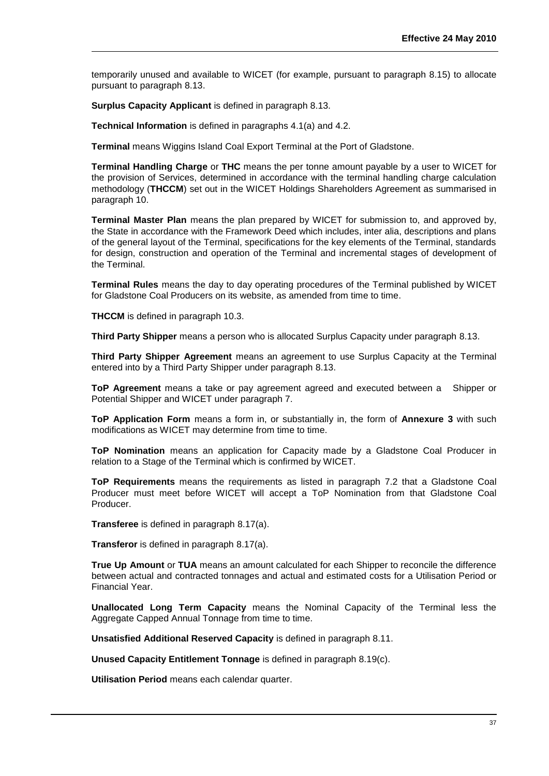temporarily unused and available to WICET (for example, pursuant to paragraph 8.15) to allocate pursuant to paragraph [8.13.](#page-15-0)

**Surplus Capacity Applicant** is defined in paragraph 8.13.

**Technical Information** is defined in paragraphs 4.1(a) and 4.2.

**Terminal** means Wiggins Island Coal Export Terminal at the Port of Gladstone.

**Terminal Handling Charge** or **THC** means the per tonne amount payable by a user to WICET for the provision of Services, determined in accordance with the terminal handling charge calculation methodology (**THCCM**) set out in the WICET Holdings Shareholders Agreement as summarised in paragraph 10.

**Terminal Master Plan** means the plan prepared by WICET for submission to, and approved by, the State in accordance with the Framework Deed which includes, inter alia, descriptions and plans of the general layout of the Terminal, specifications for the key elements of the Terminal, standards for design, construction and operation of the Terminal and incremental stages of development of the Terminal.

**Terminal Rules** means the day to day operating procedures of the Terminal published by WICET for Gladstone Coal Producers on its website, as amended from time to time.

**THCCM** is defined in paragraph 10.3.

**Third Party Shipper** means a person who is allocated Surplus Capacity under paragraph 8.13.

**Third Party Shipper Agreement** means an agreement to use Surplus Capacity at the Terminal entered into by a Third Party Shipper under paragraph 8.13.

**ToP Agreement** means a take or pay agreement agreed and executed between a Shipper or Potential Shipper and WICET under paragraph 7.

**ToP Application Form** means a form in, or substantially in, the form of **Annexure 3** with such modifications as WICET may determine from time to time.

**ToP Nomination** means an application for Capacity made by a Gladstone Coal Producer in relation to a Stage of the Terminal which is confirmed by WICET.

**ToP Requirements** means the requirements as listed in paragraph [7.2](#page-10-1) that a Gladstone Coal Producer must meet before WICET will accept a ToP Nomination from that Gladstone Coal Producer.

**Transferee** is defined in paragraph [8.17\(a\).](#page-16-0)

**Transferor** is defined in paragraph [8.17\(a\).](#page-16-0)

**True Up Amount** or **TUA** means an amount calculated for each Shipper to reconcile the difference between actual and contracted tonnages and actual and estimated costs for a Utilisation Period or Financial Year.

**Unallocated Long Term Capacity** means the Nominal Capacity of the Terminal less the Aggregate Capped Annual Tonnage from time to time.

**Unsatisfied Additional Reserved Capacity** is defined in paragraph [8.11.](#page-15-1)

**Unused Capacity Entitlement Tonnage** is defined in paragraph 8.19(c).

**Utilisation Period** means each calendar quarter.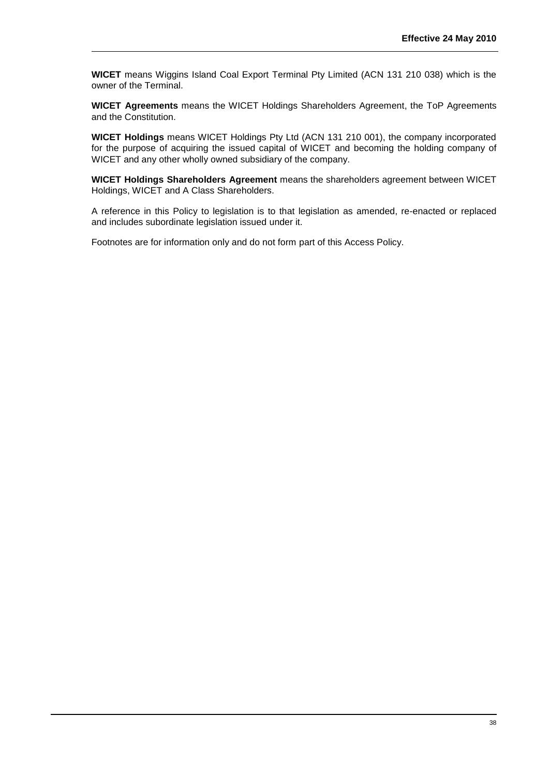**WICET** means Wiggins Island Coal Export Terminal Pty Limited (ACN 131 210 038) which is the owner of the Terminal.

**WICET Agreements** means the WICET Holdings Shareholders Agreement, the ToP Agreements and the Constitution.

**WICET Holdings** means WICET Holdings Pty Ltd (ACN 131 210 001), the company incorporated for the purpose of acquiring the issued capital of WICET and becoming the holding company of WICET and any other wholly owned subsidiary of the company.

**WICET Holdings Shareholders Agreement** means the shareholders agreement between WICET Holdings, WICET and A Class Shareholders.

A reference in this Policy to legislation is to that legislation as amended, re-enacted or replaced and includes subordinate legislation issued under it.

Footnotes are for information only and do not form part of this Access Policy.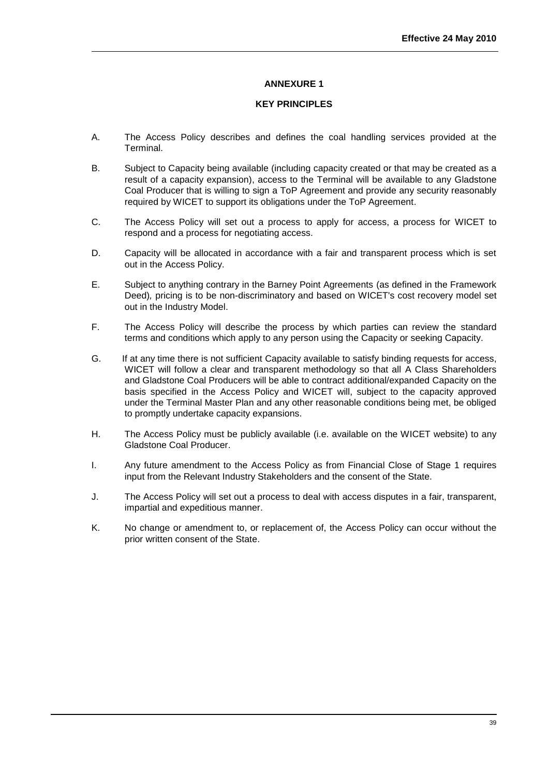#### **KEY PRINCIPLES**

- <span id="page-40-0"></span>A. The Access Policy describes and defines the coal handling services provided at the Terminal.
- B. Subject to Capacity being available (including capacity created or that may be created as a result of a capacity expansion), access to the Terminal will be available to any Gladstone Coal Producer that is willing to sign a ToP Agreement and provide any security reasonably required by WICET to support its obligations under the ToP Agreement.
- C. The Access Policy will set out a process to apply for access, a process for WICET to respond and a process for negotiating access.
- D. Capacity will be allocated in accordance with a fair and transparent process which is set out in the Access Policy.
- E. Subject to anything contrary in the Barney Point Agreements (as defined in the Framework Deed)*,* pricing is to be non-discriminatory and based on WICET's cost recovery model set out in the Industry Model.
- F. The Access Policy will describe the process by which parties can review the standard terms and conditions which apply to any person using the Capacity or seeking Capacity.
- G. If at any time there is not sufficient Capacity available to satisfy binding requests for access, WICET will follow a clear and transparent methodology so that all A Class Shareholders and Gladstone Coal Producers will be able to contract additional/expanded Capacity on the basis specified in the Access Policy and WICET will, subject to the capacity approved under the Terminal Master Plan and any other reasonable conditions being met, be obliged to promptly undertake capacity expansions.
- H. The Access Policy must be publicly available (i.e. available on the WICET website) to any Gladstone Coal Producer.
- I. Any future amendment to the Access Policy as from Financial Close of Stage 1 requires input from the Relevant Industry Stakeholders and the consent of the State.
- J. The Access Policy will set out a process to deal with access disputes in a fair, transparent, impartial and expeditious manner.
- K. No change or amendment to, or replacement of, the Access Policy can occur without the prior written consent of the State.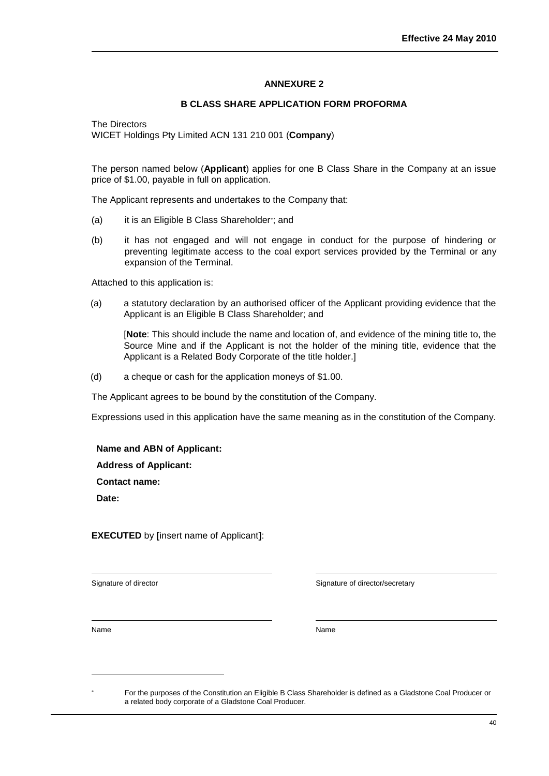## **B CLASS SHARE APPLICATION FORM PROFORMA**

<span id="page-41-0"></span>The Directors WICET Holdings Pty Limited ACN 131 210 001 (**Company**)

The person named below (**Applicant**) applies for one B Class Share in the Company at an issue price of \$1.00, payable in full on application.

The Applicant represents and undertakes to the Company that:

- (a) it is an Eligible B Class Shareholder ; and
- (b) it has not engaged and will not engage in conduct for the purpose of hindering or preventing legitimate access to the coal export services provided by the Terminal or any expansion of the Terminal.

Attached to this application is:

(a) a statutory declaration by an authorised officer of the Applicant providing evidence that the Applicant is an Eligible B Class Shareholder; and

[**Note**: This should include the name and location of, and evidence of the mining title to, the Source Mine and if the Applicant is not the holder of the mining title, evidence that the Applicant is a Related Body Corporate of the title holder.]

(d) a cheque or cash for the application moneys of \$1.00.

The Applicant agrees to be bound by the constitution of the Company.

Expressions used in this application have the same meaning as in the constitution of the Company.

**Name and ABN of Applicant:**

**Address of Applicant:**

**Contact name:**

**Date:**

**EXECUTED** by **[**insert name of Applicant**]**:

Signature of director  $\Box$  Signature of director/secretary

Name Name

l

For the purposes of the Constitution an Eligible B Class Shareholder is defined as a Gladstone Coal Producer or a related body corporate of a Gladstone Coal Producer.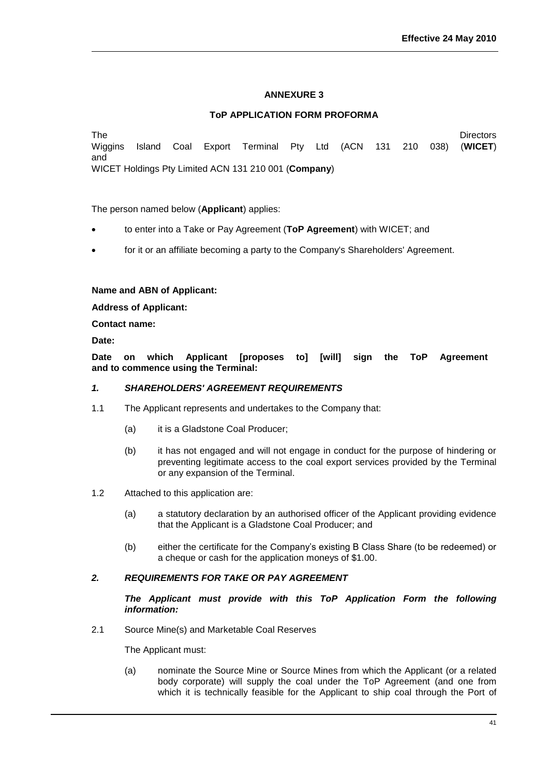#### **ToP APPLICATION FORM PROFORMA**

<span id="page-42-0"></span>The Directors Wiggins Island Coal Export Terminal Pty Ltd (ACN 131 210 038) (**WICET**) and WICET Holdings Pty Limited ACN 131 210 001 (**Company**)

The person named below (**Applicant**) applies:

- to enter into a Take or Pay Agreement (**ToP Agreement**) with WICET; and
- for it or an affiliate becoming a party to the Company's Shareholders' Agreement.

#### **Name and ABN of Applicant:**

**Address of Applicant:**

**Contact name:**

**Date:**

**Date on which Applicant [proposes to] [will] sign the ToP Agreement and to commence using the Terminal:**

#### *1. SHAREHOLDERS' AGREEMENT REQUIREMENTS*

- 1.1 The Applicant represents and undertakes to the Company that:
	- (a) it is a Gladstone Coal Producer;
	- (b) it has not engaged and will not engage in conduct for the purpose of hindering or preventing legitimate access to the coal export services provided by the Terminal or any expansion of the Terminal.
- 1.2 Attached to this application are:
	- (a) a statutory declaration by an authorised officer of the Applicant providing evidence that the Applicant is a Gladstone Coal Producer; and
	- (b) either the certificate for the Company's existing B Class Share (to be redeemed) or a cheque or cash for the application moneys of \$1.00.

#### *2. REQUIREMENTS FOR TAKE OR PAY AGREEMENT*

*The Applicant must provide with this ToP Application Form the following information:*

2.1 Source Mine(s) and Marketable Coal Reserves

The Applicant must:

(a) nominate the Source Mine or Source Mines from which the Applicant (or a related body corporate) will supply the coal under the ToP Agreement (and one from which it is technically feasible for the Applicant to ship coal through the Port of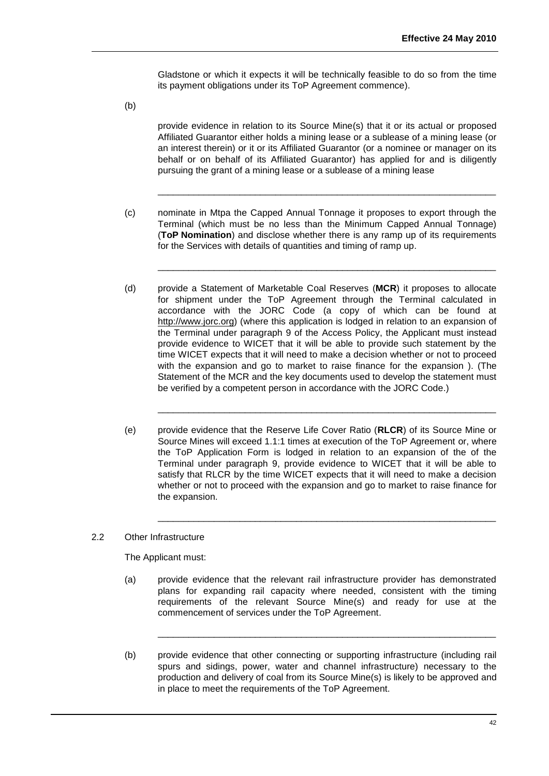Gladstone or which it expects it will be technically feasible to do so from the time its payment obligations under its ToP Agreement commence).

(b)

provide evidence in relation to its Source Mine(s) that it or its actual or proposed Affiliated Guarantor either holds a mining lease or a sublease of a mining lease (or an interest therein) or it or its Affiliated Guarantor (or a nominee or manager on its behalf or on behalf of its Affiliated Guarantor) has applied for and is diligently pursuing the grant of a mining lease or a sublease of a mining lease

 $\_$  , and the set of the set of the set of the set of the set of the set of the set of the set of the set of the set of the set of the set of the set of the set of the set of the set of the set of the set of the set of th

 $\_$  , and the set of the set of the set of the set of the set of the set of the set of the set of the set of the set of the set of the set of the set of the set of the set of the set of the set of the set of the set of th

- (c) nominate in Mtpa the Capped Annual Tonnage it proposes to export through the Terminal (which must be no less than the Minimum Capped Annual Tonnage) (**ToP Nomination**) and disclose whether there is any ramp up of its requirements for the Services with details of quantities and timing of ramp up.
- (d) provide a Statement of Marketable Coal Reserves (**MCR**) it proposes to allocate for shipment under the ToP Agreement through the Terminal calculated in accordance with the JORC Code (a copy of which can be found at http://www.jorc.org) (where this application is lodged in relation to an expansion of the Terminal under paragraph 9 of the Access Policy, the Applicant must instead provide evidence to WICET that it will be able to provide such statement by the time WICET expects that it will need to make a decision whether or not to proceed with the expansion and go to market to raise finance for the expansion ). (The Statement of the MCR and the key documents used to develop the statement must be verified by a competent person in accordance with the JORC Code.)
- (e) provide evidence that the Reserve Life Cover Ratio (**RLCR**) of its Source Mine or Source Mines will exceed 1.1:1 times at execution of the ToP Agreement or, where the ToP Application Form is lodged in relation to an expansion of the of the Terminal under paragraph 9, provide evidence to WICET that it will be able to satisfy that RLCR by the time WICET expects that it will need to make a decision whether or not to proceed with the expansion and go to market to raise finance for the expansion.

\_\_\_\_\_\_\_\_\_\_\_\_\_\_\_\_\_\_\_\_\_\_\_\_\_\_\_\_\_\_\_\_\_\_\_\_\_\_\_\_\_\_\_\_\_\_\_\_\_\_\_\_\_\_\_\_\_\_\_\_\_\_\_\_\_\_

 $\_$  , and the set of the set of the set of the set of the set of the set of the set of the set of the set of the set of the set of the set of the set of the set of the set of the set of the set of the set of the set of th

## 2.2 Other Infrastructure

The Applicant must:

(a) provide evidence that the relevant rail infrastructure provider has demonstrated plans for expanding rail capacity where needed, consistent with the timing requirements of the relevant Source Mine(s) and ready for use at the commencement of services under the ToP Agreement.

\_\_\_\_\_\_\_\_\_\_\_\_\_\_\_\_\_\_\_\_\_\_\_\_\_\_\_\_\_\_\_\_\_\_\_\_\_\_\_\_\_\_\_\_\_\_\_\_\_\_\_\_\_\_\_\_\_\_\_\_\_\_\_\_\_\_

(b) provide evidence that other connecting or supporting infrastructure (including rail spurs and sidings, power, water and channel infrastructure) necessary to the production and delivery of coal from its Source Mine(s) is likely to be approved and in place to meet the requirements of the ToP Agreement.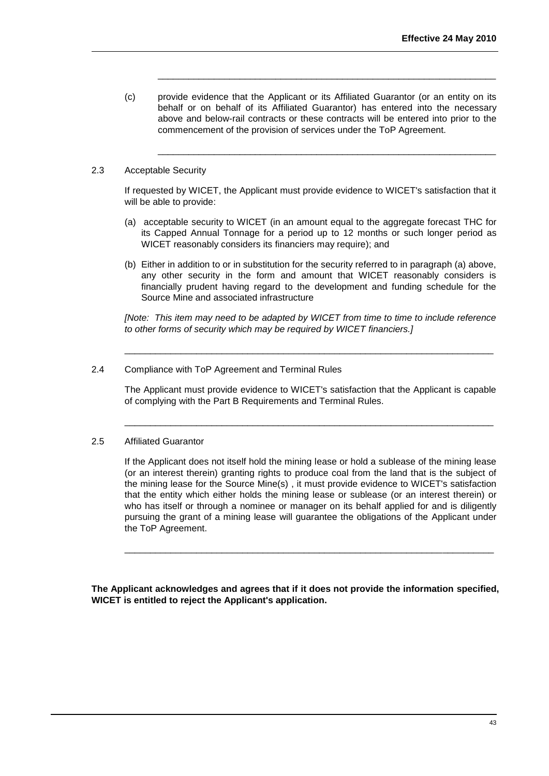(c) provide evidence that the Applicant or its Affiliated Guarantor (or an entity on its behalf or on behalf of its Affiliated Guarantor) has entered into the necessary above and below-rail contracts or these contracts will be entered into prior to the commencement of the provision of services under the ToP Agreement.

\_\_\_\_\_\_\_\_\_\_\_\_\_\_\_\_\_\_\_\_\_\_\_\_\_\_\_\_\_\_\_\_\_\_\_\_\_\_\_\_\_\_\_\_\_\_\_\_\_\_\_\_\_\_\_\_\_\_\_\_\_\_\_\_\_\_

\_\_\_\_\_\_\_\_\_\_\_\_\_\_\_\_\_\_\_\_\_\_\_\_\_\_\_\_\_\_\_\_\_\_\_\_\_\_\_\_\_\_\_\_\_\_\_\_\_\_\_\_\_\_\_\_\_\_\_\_\_\_\_\_\_\_

## 2.3 Acceptable Security

If requested by WICET, the Applicant must provide evidence to WICET's satisfaction that it will be able to provide:

- (a) acceptable security to WICET (in an amount equal to the aggregate forecast THC for its Capped Annual Tonnage for a period up to 12 months or such longer period as WICET reasonably considers its financiers may require); and
- (b) Either in addition to or in substitution for the security referred to in paragraph (a) above, any other security in the form and amount that WICET reasonably considers is financially prudent having regard to the development and funding schedule for the Source Mine and associated infrastructure

*[Note: This item may need to be adapted by WICET from time to time to include reference to other forms of security which may be required by WICET financiers.]*

\_\_\_\_\_\_\_\_\_\_\_\_\_\_\_\_\_\_\_\_\_\_\_\_\_\_\_\_\_\_\_\_\_\_\_\_\_\_\_\_\_\_\_\_\_\_\_\_\_\_\_\_\_\_\_\_\_\_\_\_\_\_\_\_\_\_\_\_\_\_\_\_

## 2.4 Compliance with ToP Agreement and Terminal Rules

The Applicant must provide evidence to WICET's satisfaction that the Applicant is capable of complying with the Part B Requirements and Terminal Rules.

\_\_\_\_\_\_\_\_\_\_\_\_\_\_\_\_\_\_\_\_\_\_\_\_\_\_\_\_\_\_\_\_\_\_\_\_\_\_\_\_\_\_\_\_\_\_\_\_\_\_\_\_\_\_\_\_\_\_\_\_\_\_\_\_\_\_\_\_\_\_\_\_

## 2.5 Affiliated Guarantor

If the Applicant does not itself hold the mining lease or hold a sublease of the mining lease (or an interest therein) granting rights to produce coal from the land that is the subject of the mining lease for the Source Mine(s) , it must provide evidence to WICET's satisfaction that the entity which either holds the mining lease or sublease (or an interest therein) or who has itself or through a nominee or manager on its behalf applied for and is diligently pursuing the grant of a mining lease will guarantee the obligations of the Applicant under the ToP Agreement.

\_\_\_\_\_\_\_\_\_\_\_\_\_\_\_\_\_\_\_\_\_\_\_\_\_\_\_\_\_\_\_\_\_\_\_\_\_\_\_\_\_\_\_\_\_\_\_\_\_\_\_\_\_\_\_\_\_\_\_\_\_\_\_\_\_\_\_\_\_\_\_\_

**The Applicant acknowledges and agrees that if it does not provide the information specified, WICET is entitled to reject the Applicant's application.**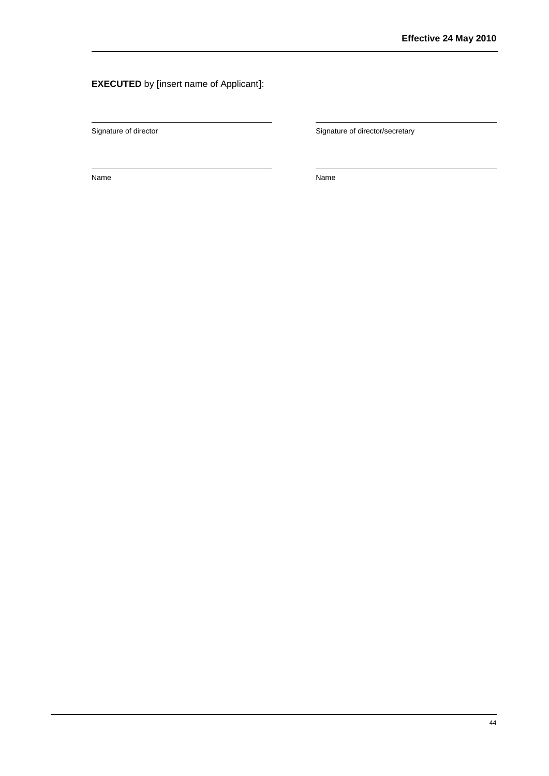## **EXECUTED** by **[**insert name of Applicant**]**:

Signature of director **Signature of director/secretary** Signature of director/secretary

Name Name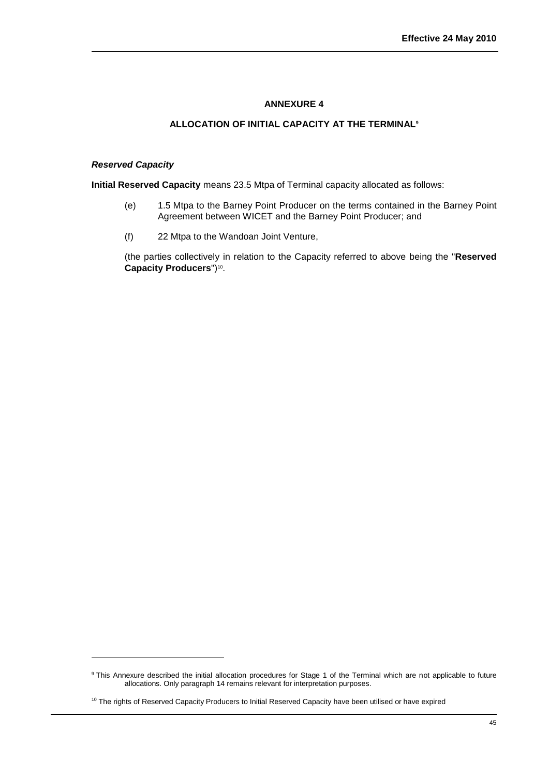## **ALLOCATION OF INITIAL CAPACITY AT THE TERMINAL<sup>9</sup>**

#### <span id="page-46-0"></span>*Reserved Capacity*

l

**Initial Reserved Capacity** means 23.5 Mtpa of Terminal capacity allocated as follows:

- (e) 1.5 Mtpa to the Barney Point Producer on the terms contained in the Barney Point Agreement between WICET and the Barney Point Producer; and
- (f) 22 Mtpa to the Wandoan Joint Venture,

<span id="page-46-1"></span>(the parties collectively in relation to the Capacity referred to above being the "**Reserved**  Capacity Producers")<sup>10</sup>.

<sup>9</sup> This Annexure described the initial allocation procedures for Stage 1 of the Terminal which are not applicable to future allocations. Only paragraph 14 remains relevant for interpretation purposes.

<sup>&</sup>lt;sup>10</sup> The rights of Reserved Capacity Producers to Initial Reserved Capacity have been utilised or have expired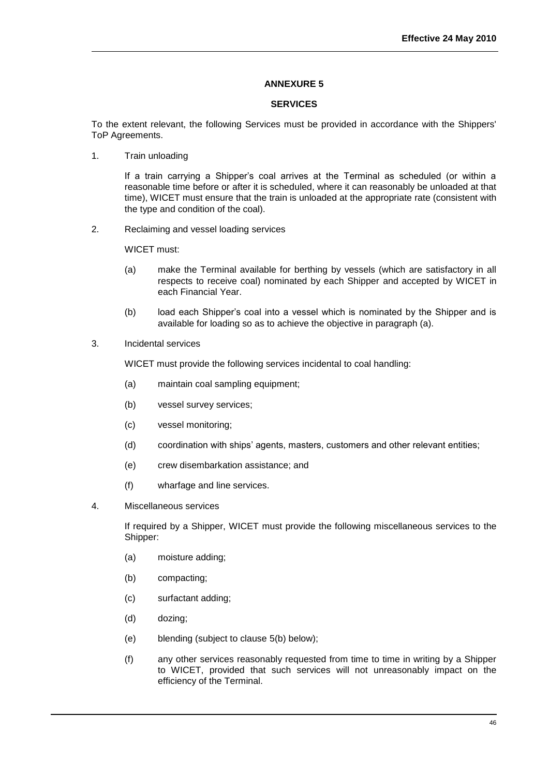## **SERVICES**

To the extent relevant, the following Services must be provided in accordance with the Shippers' ToP Agreements.

1. Train unloading

If a train carrying a Shipper's coal arrives at the Terminal as scheduled (or within a reasonable time before or after it is scheduled, where it can reasonably be unloaded at that time), WICET must ensure that the train is unloaded at the appropriate rate (consistent with the type and condition of the coal).

2. Reclaiming and vessel loading services

WICET must:

- (a) make the Terminal available for berthing by vessels (which are satisfactory in all respects to receive coal) nominated by each Shipper and accepted by WICET in each Financial Year.
- (b) load each Shipper's coal into a vessel which is nominated by the Shipper and is available for loading so as to achieve the objective in paragraph (a).
- 3. Incidental services

WICET must provide the following services incidental to coal handling:

- (a) maintain coal sampling equipment;
- (b) vessel survey services;
- (c) vessel monitoring;
- (d) coordination with ships' agents, masters, customers and other relevant entities;
- (e) crew disembarkation assistance; and
- (f) wharfage and line services.
- 4. Miscellaneous services

If required by a Shipper, WICET must provide the following miscellaneous services to the Shipper:

- (a) moisture adding;
- (b) compacting;
- (c) surfactant adding;
- (d) dozing;
- (e) blending (subject to clause 5(b) below);
- (f) any other services reasonably requested from time to time in writing by a Shipper to WICET, provided that such services will not unreasonably impact on the efficiency of the Terminal.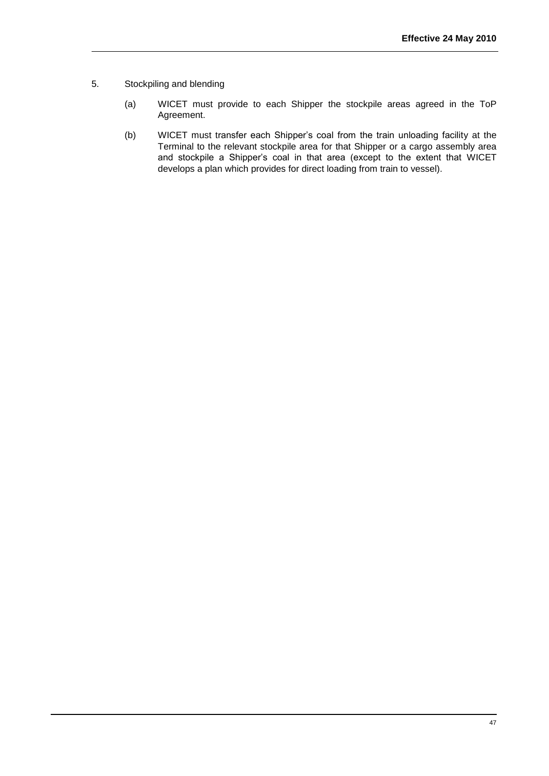- 5. Stockpiling and blending
	- (a) WICET must provide to each Shipper the stockpile areas agreed in the ToP Agreement.
	- (b) WICET must transfer each Shipper's coal from the train unloading facility at the Terminal to the relevant stockpile area for that Shipper or a cargo assembly area and stockpile a Shipper's coal in that area (except to the extent that WICET develops a plan which provides for direct loading from train to vessel).